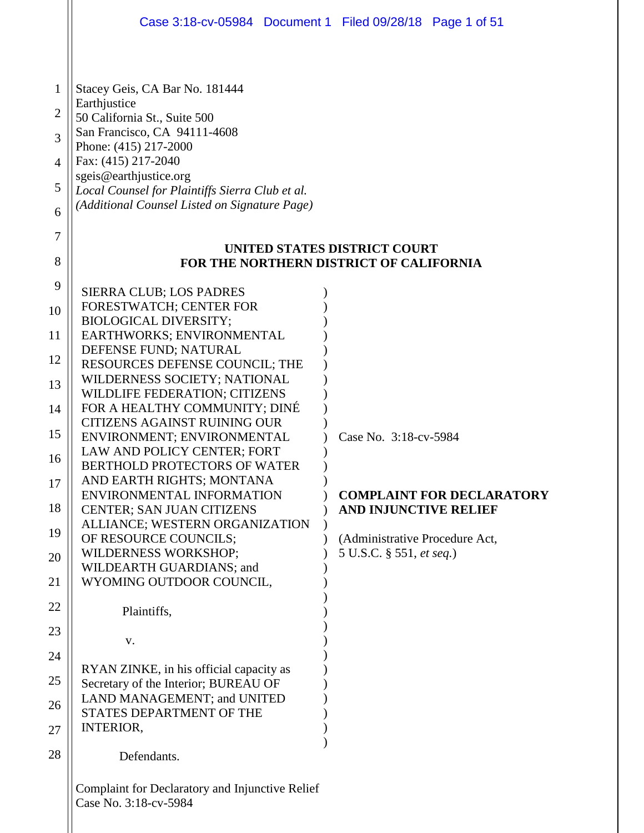|                                              | Case 3:18-cv-05984 Document 1 Filed 09/28/18 Page 1 of 51                                                                                                                                                                                                                                    |                          |  |                                                                  |  |  |
|----------------------------------------------|----------------------------------------------------------------------------------------------------------------------------------------------------------------------------------------------------------------------------------------------------------------------------------------------|--------------------------|--|------------------------------------------------------------------|--|--|
| 1<br>$\overline{2}$<br>3<br>4<br>5<br>6<br>7 | Stacey Geis, CA Bar No. 181444<br>Earthjustice<br>50 California St., Suite 500<br>San Francisco, CA 94111-4608<br>Phone: (415) 217-2000<br>Fax: (415) 217-2040<br>sgeis@earthjustice.org<br>Local Counsel for Plaintiffs Sierra Club et al.<br>(Additional Counsel Listed on Signature Page) |                          |  |                                                                  |  |  |
| 8                                            | UNITED STATES DISTRICT COURT<br>FOR THE NORTHERN DISTRICT OF CALIFORNIA                                                                                                                                                                                                                      |                          |  |                                                                  |  |  |
| 9                                            | <b>SIERRA CLUB; LOS PADRES</b>                                                                                                                                                                                                                                                               |                          |  |                                                                  |  |  |
| 10                                           | FORESTWATCH; CENTER FOR<br><b>BIOLOGICAL DIVERSITY;</b>                                                                                                                                                                                                                                      |                          |  |                                                                  |  |  |
| 11<br>12                                     | EARTHWORKS; ENVIRONMENTAL<br>DEFENSE FUND; NATURAL                                                                                                                                                                                                                                           |                          |  |                                                                  |  |  |
| 13                                           | RESOURCES DEFENSE COUNCIL; THE<br>WILDERNESS SOCIETY; NATIONAL                                                                                                                                                                                                                               |                          |  |                                                                  |  |  |
| 14                                           | WILDLIFE FEDERATION; CITIZENS<br>FOR A HEALTHY COMMUNITY; DINÉ<br><b>CITIZENS AGAINST RUINING OUR</b>                                                                                                                                                                                        |                          |  |                                                                  |  |  |
| 15                                           | ENVIRONMENT; ENVIRONMENTAL<br>LAW AND POLICY CENTER; FORT                                                                                                                                                                                                                                    | Case No. 3:18-cv-5984    |  |                                                                  |  |  |
| 16<br>17                                     | <b>BERTHOLD PROTECTORS OF WATER</b><br>AND EARTH RIGHTS; MONTANA                                                                                                                                                                                                                             |                          |  |                                                                  |  |  |
| 18                                           | ENVIRONMENTAL INFORMATION<br>CENTER; SAN JUAN CITIZENS                                                                                                                                                                                                                                       |                          |  | <b>COMPLAINT FOR DECLARATORY</b><br><b>AND INJUNCTIVE RELIEF</b> |  |  |
| 19                                           | ALLIANCE; WESTERN ORGANIZATION<br>OF RESOURCE COUNCILS;                                                                                                                                                                                                                                      |                          |  | (Administrative Procedure Act,                                   |  |  |
| 20                                           | <b>WILDERNESS WORKSHOP;</b><br>WILDEARTH GUARDIANS; and                                                                                                                                                                                                                                      | 5 U.S.C. § 551, et seq.) |  |                                                                  |  |  |
| 21                                           | WYOMING OUTDOOR COUNCIL,                                                                                                                                                                                                                                                                     |                          |  |                                                                  |  |  |
| 22<br>23                                     | Plaintiffs,                                                                                                                                                                                                                                                                                  |                          |  |                                                                  |  |  |
| 24                                           | V.                                                                                                                                                                                                                                                                                           |                          |  |                                                                  |  |  |
| 25                                           | RYAN ZINKE, in his official capacity as<br>Secretary of the Interior; BUREAU OF                                                                                                                                                                                                              |                          |  |                                                                  |  |  |
| 26                                           | LAND MANAGEMENT; and UNITED<br>STATES DEPARTMENT OF THE                                                                                                                                                                                                                                      |                          |  |                                                                  |  |  |
| 27                                           | <b>INTERIOR,</b>                                                                                                                                                                                                                                                                             |                          |  |                                                                  |  |  |
| 28                                           | Defendants.                                                                                                                                                                                                                                                                                  |                          |  |                                                                  |  |  |
|                                              | Complaint for Declaratory and Injunctive Relief<br>Case No. 3:18-cv-5984                                                                                                                                                                                                                     |                          |  |                                                                  |  |  |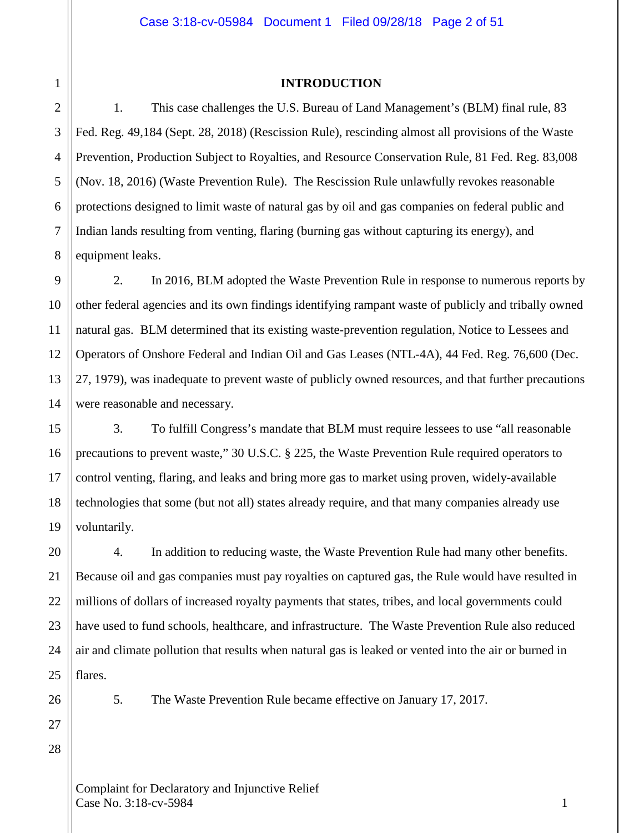#### **INTRODUCTION**

1. This case challenges the U.S. Bureau of Land Management's (BLM) final rule, 83 Fed. Reg. 49,184 (Sept. 28, 2018) (Rescission Rule), rescinding almost all provisions of the Waste Prevention, Production Subject to Royalties, and Resource Conservation Rule, 81 Fed. Reg. 83,008 (Nov. 18, 2016) (Waste Prevention Rule). The Rescission Rule unlawfully revokes reasonable protections designed to limit waste of natural gas by oil and gas companies on federal public and Indian lands resulting from venting, flaring (burning gas without capturing its energy), and equipment leaks.

2. In 2016, BLM adopted the Waste Prevention Rule in response to numerous reports by other federal agencies and its own findings identifying rampant waste of publicly and tribally owned natural gas. BLM determined that its existing waste-prevention regulation, Notice to Lessees and Operators of Onshore Federal and Indian Oil and Gas Leases (NTL-4A), 44 Fed. Reg. 76,600 (Dec. 27, 1979), was inadequate to prevent waste of publicly owned resources, and that further precautions were reasonable and necessary.

3. To fulfill Congress's mandate that BLM must require lessees to use "all reasonable precautions to prevent waste," 30 U.S.C. § 225, the Waste Prevention Rule required operators to control venting, flaring, and leaks and bring more gas to market using proven, widely-available technologies that some (but not all) states already require, and that many companies already use voluntarily.

4. In addition to reducing waste, the Waste Prevention Rule had many other benefits. Because oil and gas companies must pay royalties on captured gas, the Rule would have resulted in millions of dollars of increased royalty payments that states, tribes, and local governments could have used to fund schools, healthcare, and infrastructure. The Waste Prevention Rule also reduced air and climate pollution that results when natural gas is leaked or vented into the air or burned in flares.

5. The Waste Prevention Rule became effective on January 17, 2017.

27 28

1

2

3

4

5

6

7

8

9

10

11

12

13

14

15

16

17

18

19

20

21

22

23

24

25

26

Complaint for Declaratory and Injunctive Relief  $\text{Case No. } 3:18\text{-}c\text{v}-5984$  1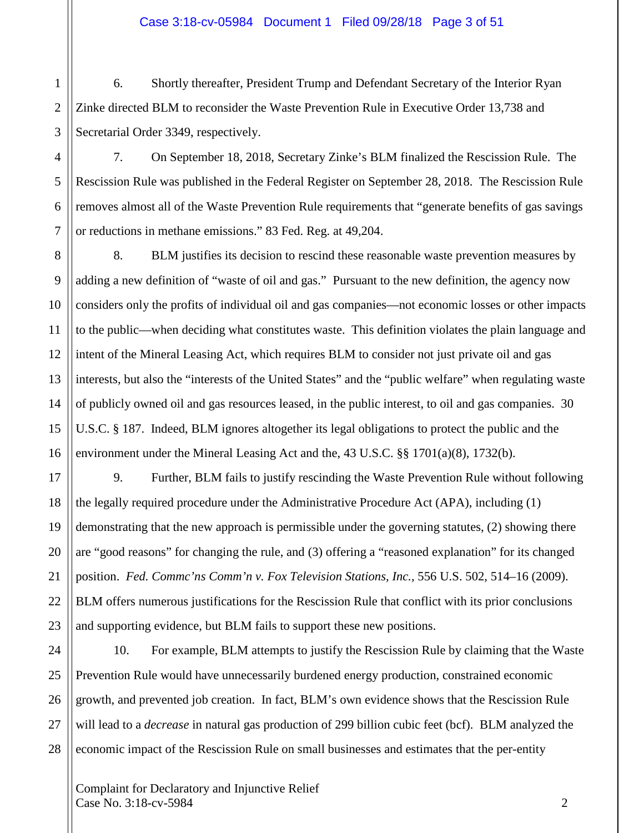## Case 3:18-cv-05984 Document 1 Filed 09/28/18 Page 3 of 51

6. Shortly thereafter, President Trump and Defendant Secretary of the Interior Ryan Zinke directed BLM to reconsider the Waste Prevention Rule in Executive Order 13,738 and Secretarial Order 3349, respectively.

7. On September 18, 2018, Secretary Zinke's BLM finalized the Rescission Rule. The Rescission Rule was published in the Federal Register on September 28, 2018. The Rescission Rule removes almost all of the Waste Prevention Rule requirements that "generate benefits of gas savings or reductions in methane emissions." 83 Fed. Reg. at 49,204.

8. BLM justifies its decision to rescind these reasonable waste prevention measures by adding a new definition of "waste of oil and gas." Pursuant to the new definition, the agency now considers only the profits of individual oil and gas companies—not economic losses or other impacts to the public—when deciding what constitutes waste. This definition violates the plain language and intent of the Mineral Leasing Act, which requires BLM to consider not just private oil and gas interests, but also the "interests of the United States" and the "public welfare" when regulating waste of publicly owned oil and gas resources leased, in the public interest, to oil and gas companies. 30 U.S.C. § 187. Indeed, BLM ignores altogether its legal obligations to protect the public and the environment under the Mineral Leasing Act and the, 43 U.S.C. §§ 1701(a)(8), 1732(b).

9. Further, BLM fails to justify rescinding the Waste Prevention Rule without following the legally required procedure under the Administrative Procedure Act (APA), including (1) demonstrating that the new approach is permissible under the governing statutes, (2) showing there are "good reasons" for changing the rule, and (3) offering a "reasoned explanation" for its changed position. *Fed. Commc'ns Comm'n v. Fox Television Stations, Inc.,* 556 U.S. 502, 514–16 (2009). BLM offers numerous justifications for the Rescission Rule that conflict with its prior conclusions and supporting evidence, but BLM fails to support these new positions.

10. For example, BLM attempts to justify the Rescission Rule by claiming that the Waste Prevention Rule would have unnecessarily burdened energy production, constrained economic growth, and prevented job creation. In fact, BLM's own evidence shows that the Rescission Rule will lead to a *decrease* in natural gas production of 299 billion cubic feet (bcf). BLM analyzed the economic impact of the Rescission Rule on small businesses and estimates that the per-entity

1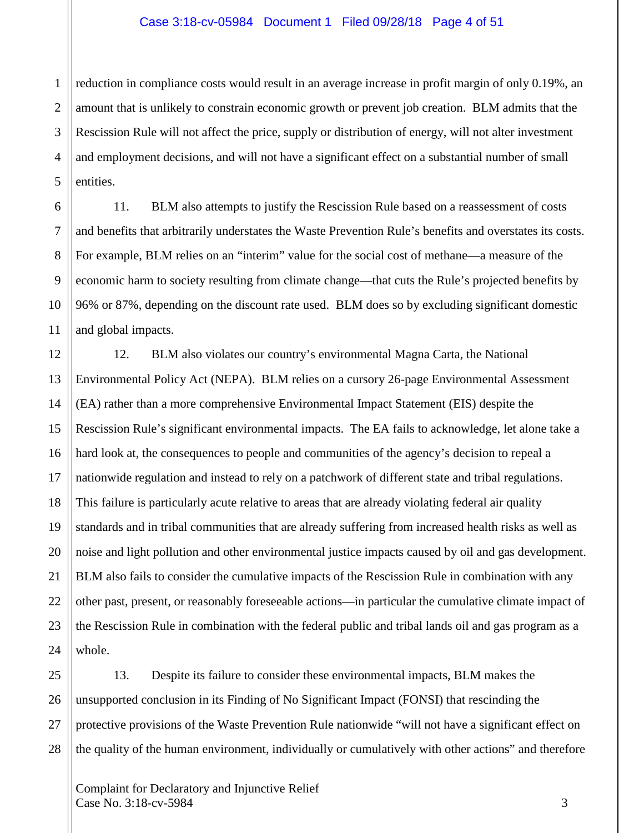#### Case 3:18-cv-05984 Document 1 Filed 09/28/18 Page 4 of 51

1 reduction in compliance costs would result in an average increase in profit margin of only 0.19%, an amount that is unlikely to constrain economic growth or prevent job creation. BLM admits that the Rescission Rule will not affect the price, supply or distribution of energy, will not alter investment and employment decisions, and will not have a significant effect on a substantial number of small entities.

11. BLM also attempts to justify the Rescission Rule based on a reassessment of costs and benefits that arbitrarily understates the Waste Prevention Rule's benefits and overstates its costs. For example, BLM relies on an "interim" value for the social cost of methane—a measure of the economic harm to society resulting from climate change—that cuts the Rule's projected benefits by 96% or 87%, depending on the discount rate used. BLM does so by excluding significant domestic and global impacts.

12. BLM also violates our country's environmental Magna Carta, the National Environmental Policy Act (NEPA). BLM relies on a cursory 26-page Environmental Assessment (EA) rather than a more comprehensive Environmental Impact Statement (EIS) despite the Rescission Rule's significant environmental impacts. The EA fails to acknowledge, let alone take a hard look at, the consequences to people and communities of the agency's decision to repeal a nationwide regulation and instead to rely on a patchwork of different state and tribal regulations. This failure is particularly acute relative to areas that are already violating federal air quality standards and in tribal communities that are already suffering from increased health risks as well as noise and light pollution and other environmental justice impacts caused by oil and gas development. BLM also fails to consider the cumulative impacts of the Rescission Rule in combination with any other past, present, or reasonably foreseeable actions—in particular the cumulative climate impact of the Rescission Rule in combination with the federal public and tribal lands oil and gas program as a whole.

13. Despite its failure to consider these environmental impacts, BLM makes the unsupported conclusion in its Finding of No Significant Impact (FONSI) that rescinding the protective provisions of the Waste Prevention Rule nationwide "will not have a significant effect on the quality of the human environment, individually or cumulatively with other actions" and therefore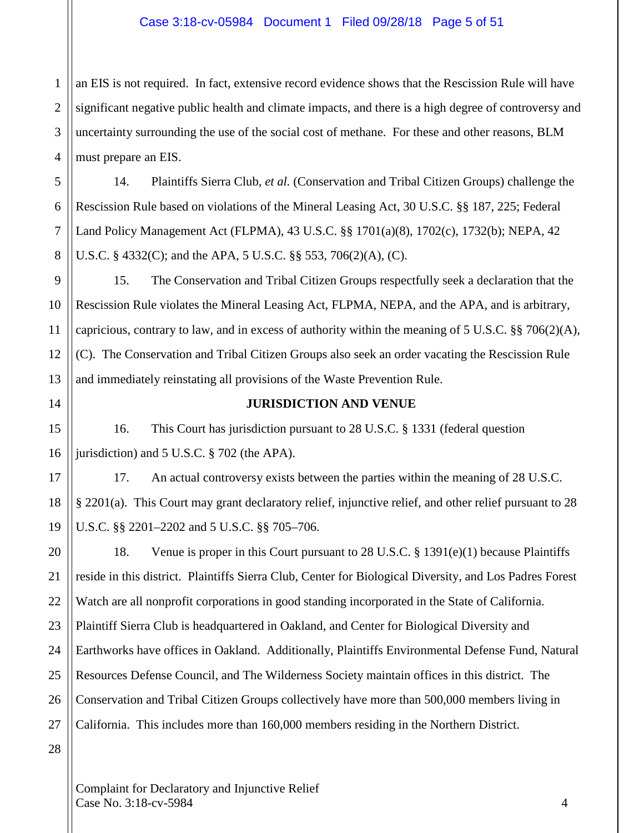#### Case 3:18-cv-05984 Document 1 Filed 09/28/18 Page 5 of 51

1 2 3 4 an EIS is not required. In fact, extensive record evidence shows that the Rescission Rule will have significant negative public health and climate impacts, and there is a high degree of controversy and uncertainty surrounding the use of the social cost of methane. For these and other reasons, BLM must prepare an EIS.

14. Plaintiffs Sierra Club, *et al.* (Conservation and Tribal Citizen Groups) challenge the Rescission Rule based on violations of the Mineral Leasing Act, 30 U.S.C. §§ 187, 225; Federal Land Policy Management Act (FLPMA), 43 U.S.C. §§ 1701(a)(8), 1702(c), 1732(b); NEPA, 42 U.S.C. § 4332(C); and the APA, 5 U.S.C. §§ 553, 706(2)(A), (C).

9 10 11 12 13 15. The Conservation and Tribal Citizen Groups respectfully seek a declaration that the Rescission Rule violates the Mineral Leasing Act, FLPMA, NEPA, and the APA, and is arbitrary, capricious, contrary to law, and in excess of authority within the meaning of 5 U.S.C. §§ 706(2)(A), (C). The Conservation and Tribal Citizen Groups also seek an order vacating the Rescission Rule and immediately reinstating all provisions of the Waste Prevention Rule.

14

15

16

17

18

19

5

6

7

8

#### **JURISDICTION AND VENUE**

16. This Court has jurisdiction pursuant to 28 U.S.C. § 1331 (federal question jurisdiction) and 5 U.S.C. § 702 (the APA).

17. An actual controversy exists between the parties within the meaning of 28 U.S.C. § 2201(a). This Court may grant declaratory relief, injunctive relief, and other relief pursuant to 28 U.S.C. §§ 2201–2202 and 5 U.S.C. §§ 705–706.

20 21 22 23 24 25 26 27 18. Venue is proper in this Court pursuant to 28 U.S.C. § 1391(e)(1) because Plaintiffs reside in this district. Plaintiffs Sierra Club, Center for Biological Diversity, and Los Padres Forest Watch are all nonprofit corporations in good standing incorporated in the State of California. Plaintiff Sierra Club is headquartered in Oakland, and Center for Biological Diversity and Earthworks have offices in Oakland. Additionally, Plaintiffs Environmental Defense Fund, Natural Resources Defense Council, and The Wilderness Society maintain offices in this district. The Conservation and Tribal Citizen Groups collectively have more than 500,000 members living in California. This includes more than 160,000 members residing in the Northern District.

28

Complaint for Declaratory and Injunctive Relief  $\text{Case No. } 3:18\text{-}c\text{-}5984$  4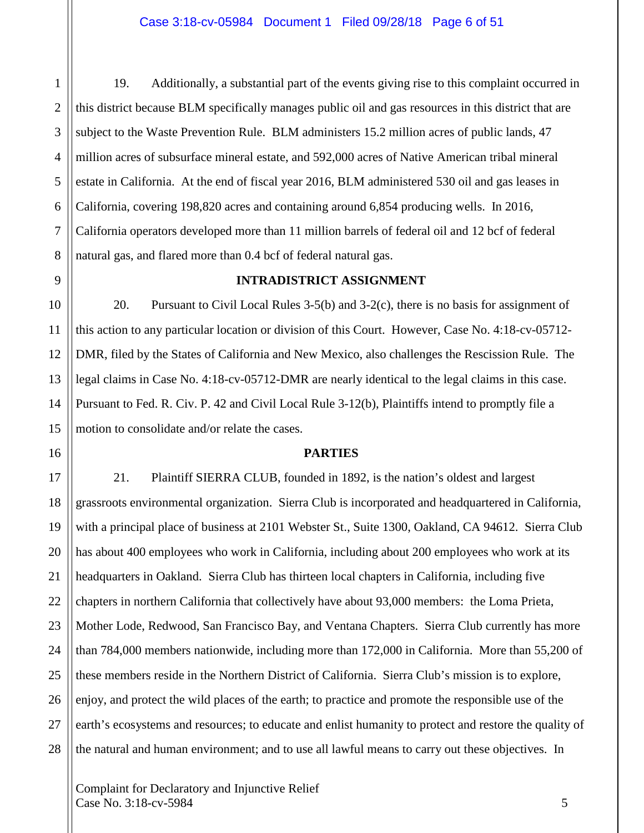1 2 3 19. Additionally, a substantial part of the events giving rise to this complaint occurred in this district because BLM specifically manages public oil and gas resources in this district that are subject to the Waste Prevention Rule. BLM administers 15.2 million acres of public lands, 47 million acres of subsurface mineral estate, and 592,000 acres of Native American tribal mineral estate in California. At the end of fiscal year 2016, BLM administered 530 oil and gas leases in California, covering 198,820 acres and containing around 6,854 producing wells. In 2016, California operators developed more than 11 million barrels of federal oil and 12 bcf of federal natural gas, and flared more than 0.4 bcf of federal natural gas.

# **INTRADISTRICT ASSIGNMENT**

20. Pursuant to Civil Local Rules 3-5(b) and 3-2(c), there is no basis for assignment of this action to any particular location or division of this Court. However, Case No. 4:18-cv-05712- DMR, filed by the States of California and New Mexico, also challenges the Rescission Rule. The legal claims in Case No. 4:18-cv-05712-DMR are nearly identical to the legal claims in this case. Pursuant to Fed. R. Civ. P. 42 and Civil Local Rule 3-12(b), Plaintiffs intend to promptly file a motion to consolidate and/or relate the cases.

# **PARTIES**

21. Plaintiff SIERRA CLUB, founded in 1892, is the nation's oldest and largest grassroots environmental organization. Sierra Club is incorporated and headquartered in California, with a principal place of business at 2101 Webster St., Suite 1300, Oakland, CA 94612. Sierra Club has about 400 employees who work in California, including about 200 employees who work at its headquarters in Oakland. Sierra Club has thirteen local chapters in California, including five chapters in northern California that collectively have about 93,000 members: the Loma Prieta, Mother Lode, Redwood, San Francisco Bay, and Ventana Chapters. Sierra Club currently has more than 784,000 members nationwide, including more than 172,000 in California. More than 55,200 of these members reside in the Northern District of California. Sierra Club's mission is to explore, enjoy, and protect the wild places of the earth; to practice and promote the responsible use of the earth's ecosystems and resources; to educate and enlist humanity to protect and restore the quality of the natural and human environment; and to use all lawful means to carry out these objectives. In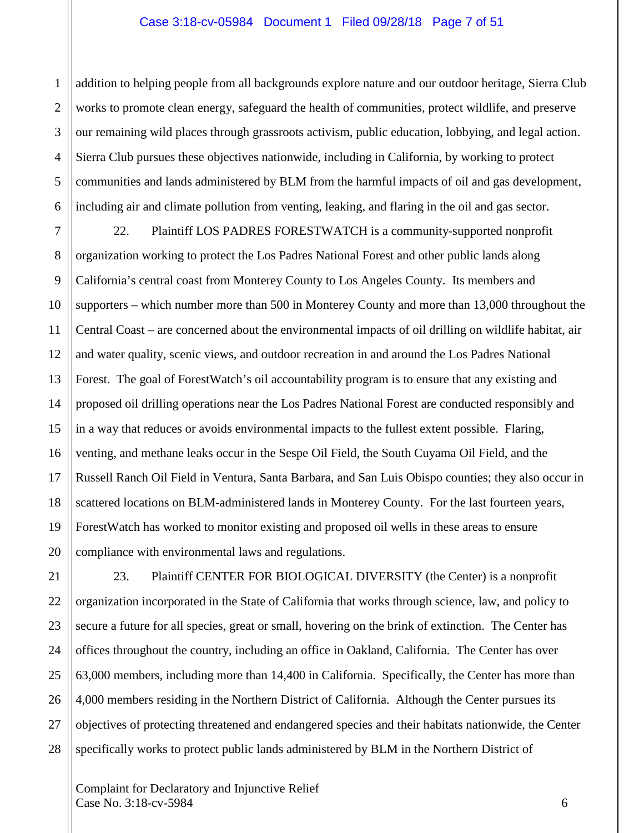#### Case 3:18-cv-05984 Document 1 Filed 09/28/18 Page 7 of 51

1 2 3 4 5 6 addition to helping people from all backgrounds explore nature and our outdoor heritage, Sierra Club works to promote clean energy, safeguard the health of communities, protect wildlife, and preserve our remaining wild places through grassroots activism, public education, lobbying, and legal action. Sierra Club pursues these objectives nationwide, including in California, by working to protect communities and lands administered by BLM from the harmful impacts of oil and gas development, including air and climate pollution from venting, leaking, and flaring in the oil and gas sector.

7 8 9 10 11 12 13 14 15 16 17 18 19 20 22. Plaintiff LOS PADRES FORESTWATCH is a community-supported nonprofit organization working to protect the Los Padres National Forest and other public lands along California's central coast from Monterey County to Los Angeles County. Its members and supporters – which number more than 500 in Monterey County and more than 13,000 throughout the Central Coast – are concerned about the environmental impacts of oil drilling on wildlife habitat, air and water quality, scenic views, and outdoor recreation in and around the Los Padres National Forest. The goal of ForestWatch's oil accountability program is to ensure that any existing and proposed oil drilling operations near the Los Padres National Forest are conducted responsibly and in a way that reduces or avoids environmental impacts to the fullest extent possible. Flaring, venting, and methane leaks occur in the Sespe Oil Field, the South Cuyama Oil Field, and the Russell Ranch Oil Field in Ventura, Santa Barbara, and San Luis Obispo counties; they also occur in scattered locations on BLM-administered lands in Monterey County. For the last fourteen years, ForestWatch has worked to monitor existing and proposed oil wells in these areas to ensure compliance with environmental laws and regulations.

21 22 23 24 25 26 27 28 23. Plaintiff CENTER FOR BIOLOGICAL DIVERSITY (the Center) is a nonprofit organization incorporated in the State of California that works through science, law, and policy to secure a future for all species, great or small, hovering on the brink of extinction. The Center has offices throughout the country, including an office in Oakland, California. The Center has over 63,000 members, including more than 14,400 in California. Specifically, the Center has more than 4,000 members residing in the Northern District of California. Although the Center pursues its objectives of protecting threatened and endangered species and their habitats nationwide, the Center specifically works to protect public lands administered by BLM in the Northern District of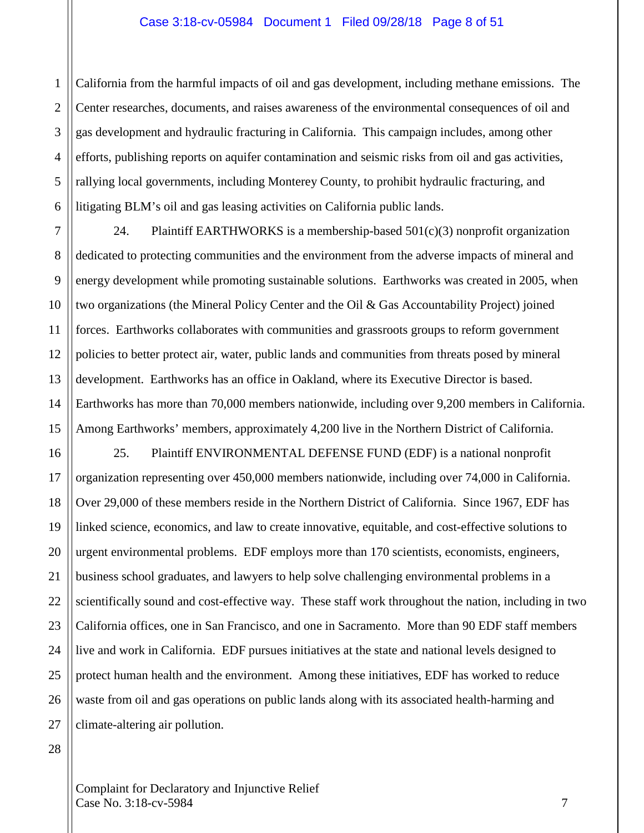#### Case 3:18-cv-05984 Document 1 Filed 09/28/18 Page 8 of 51

1 2 3 4 5 6 California from the harmful impacts of oil and gas development, including methane emissions. The Center researches, documents, and raises awareness of the environmental consequences of oil and gas development and hydraulic fracturing in California. This campaign includes, among other efforts, publishing reports on aquifer contamination and seismic risks from oil and gas activities, rallying local governments, including Monterey County, to prohibit hydraulic fracturing, and litigating BLM's oil and gas leasing activities on California public lands.

24. Plaintiff EARTHWORKS is a membership-based  $501(c)(3)$  nonprofit organization dedicated to protecting communities and the environment from the adverse impacts of mineral and energy development while promoting sustainable solutions. Earthworks was created in 2005, when two organizations (the Mineral Policy Center and the Oil & Gas Accountability Project) joined forces. Earthworks collaborates with communities and grassroots groups to reform government policies to better protect air, water, public lands and communities from threats posed by mineral development. Earthworks has an office in Oakland, where its Executive Director is based. Earthworks has more than 70,000 members nationwide, including over 9,200 members in California. Among Earthworks' members, approximately 4,200 live in the Northern District of California.

16 17 18 19 20 21 22 23 24 25 26 27 25. Plaintiff ENVIRONMENTAL DEFENSE FUND (EDF) is a national nonprofit organization representing over 450,000 members nationwide, including over 74,000 in California. Over 29,000 of these members reside in the Northern District of California. Since 1967, EDF has linked science, economics, and law to create innovative, equitable, and cost-effective solutions to urgent environmental problems. EDF employs more than 170 scientists, economists, engineers, business school graduates, and lawyers to help solve challenging environmental problems in a scientifically sound and cost-effective way. These staff work throughout the nation, including in two California offices, one in San Francisco, and one in Sacramento. More than 90 EDF staff members live and work in California. EDF pursues initiatives at the state and national levels designed to protect human health and the environment. Among these initiatives, EDF has worked to reduce waste from oil and gas operations on public lands along with its associated health-harming and climate-altering air pollution.

28

7

8

9

10

11

12

13

14

15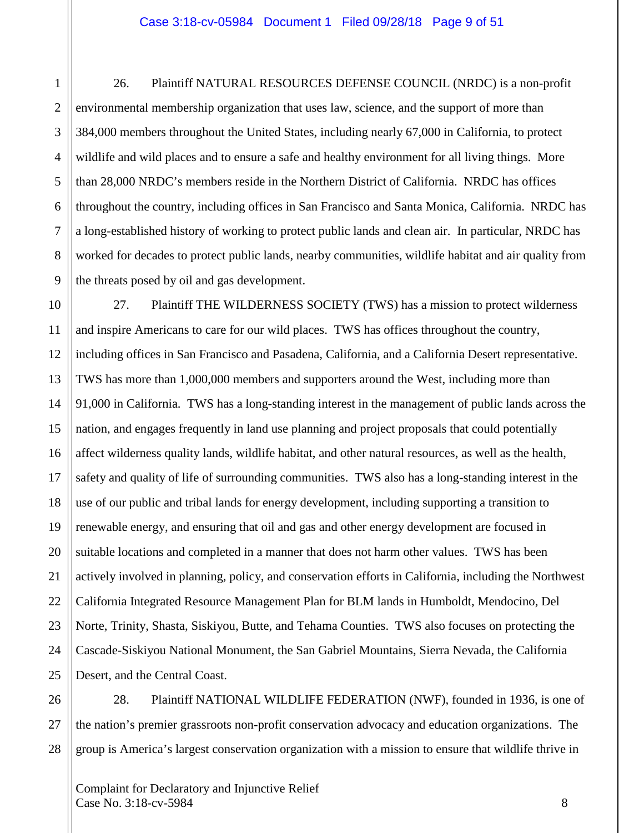1

2

3

4

5

6

7

8

9

26. Plaintiff NATURAL RESOURCES DEFENSE COUNCIL (NRDC) is a non-profit environmental membership organization that uses law, science, and the support of more than 384,000 members throughout the United States, including nearly 67,000 in California, to protect wildlife and wild places and to ensure a safe and healthy environment for all living things. More than 28,000 NRDC's members reside in the Northern District of California. NRDC has offices throughout the country, including offices in San Francisco and Santa Monica, California. NRDC has a long-established history of working to protect public lands and clean air. In particular, NRDC has worked for decades to protect public lands, nearby communities, wildlife habitat and air quality from the threats posed by oil and gas development.

10 11 12 13 14 15 16 17 18 19 20 21 22 23 24 25 27. Plaintiff THE WILDERNESS SOCIETY (TWS) has a mission to protect wilderness and inspire Americans to care for our wild places. TWS has offices throughout the country, including offices in San Francisco and Pasadena, California, and a California Desert representative. TWS has more than 1,000,000 members and supporters around the West, including more than 91,000 in California. TWS has a long-standing interest in the management of public lands across the nation, and engages frequently in land use planning and project proposals that could potentially affect wilderness quality lands, wildlife habitat, and other natural resources, as well as the health, safety and quality of life of surrounding communities. TWS also has a long-standing interest in the use of our public and tribal lands for energy development, including supporting a transition to renewable energy, and ensuring that oil and gas and other energy development are focused in suitable locations and completed in a manner that does not harm other values. TWS has been actively involved in planning, policy, and conservation efforts in California, including the Northwest California Integrated Resource Management Plan for BLM lands in Humboldt, Mendocino, Del Norte, Trinity, Shasta, Siskiyou, Butte, and Tehama Counties. TWS also focuses on protecting the Cascade-Siskiyou National Monument, the San Gabriel Mountains, Sierra Nevada, the California Desert, and the Central Coast.

26 27 28 28. Plaintiff NATIONAL WILDLIFE FEDERATION (NWF), founded in 1936, is one of the nation's premier grassroots non-profit conservation advocacy and education organizations. The group is America's largest conservation organization with a mission to ensure that wildlife thrive in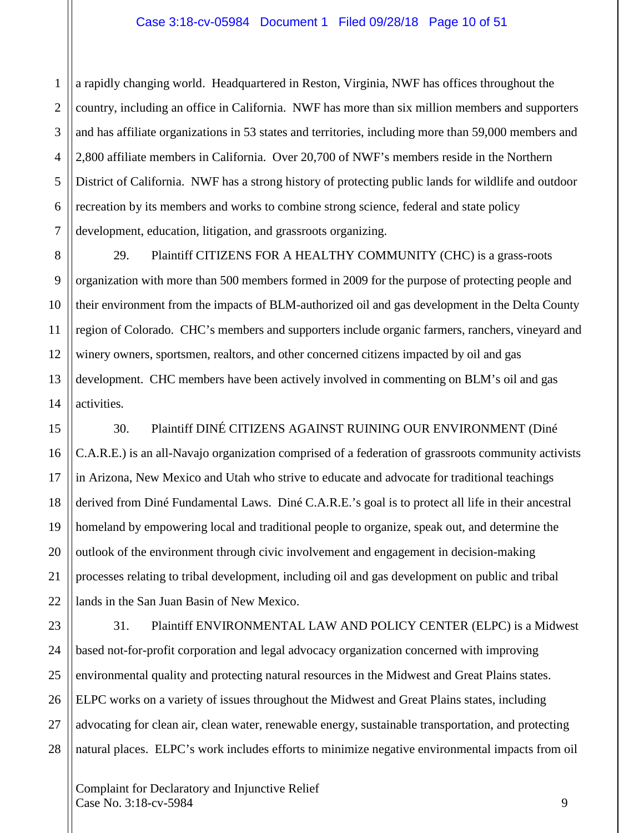1 2 a rapidly changing world. Headquartered in Reston, Virginia, NWF has offices throughout the country, including an office in California. NWF has more than six million members and supporters and has affiliate organizations in 53 states and territories, including more than 59,000 members and 2,800 affiliate members in California. Over 20,700 of NWF's members reside in the Northern District of California. NWF has a strong history of protecting public lands for wildlife and outdoor recreation by its members and works to combine strong science, federal and state policy development, education, litigation, and grassroots organizing.

29. Plaintiff CITIZENS FOR A HEALTHY COMMUNITY (CHC) is a grass-roots organization with more than 500 members formed in 2009 for the purpose of protecting people and their environment from the impacts of BLM-authorized oil and gas development in the Delta County region of Colorado. CHC's members and supporters include organic farmers, ranchers, vineyard and winery owners, sportsmen, realtors, and other concerned citizens impacted by oil and gas development. CHC members have been actively involved in commenting on BLM's oil and gas activities.

30. Plaintiff DINÉ CITIZENS AGAINST RUINING OUR ENVIRONMENT (Diné C.A.R.E.) is an all-Navajo organization comprised of a federation of grassroots community activists in Arizona, New Mexico and Utah who strive to educate and advocate for traditional teachings derived from Diné Fundamental Laws. Diné C.A.R.E.'s goal is to protect all life in their ancestral homeland by empowering local and traditional people to organize, speak out, and determine the outlook of the environment through civic involvement and engagement in decision-making processes relating to tribal development, including oil and gas development on public and tribal lands in the San Juan Basin of New Mexico.

31. Plaintiff ENVIRONMENTAL LAW AND POLICY CENTER (ELPC) is a Midwest based not-for-profit corporation and legal advocacy organization concerned with improving environmental quality and protecting natural resources in the Midwest and Great Plains states. ELPC works on a variety of issues throughout the Midwest and Great Plains states, including advocating for clean air, clean water, renewable energy, sustainable transportation, and protecting natural places. ELPC's work includes efforts to minimize negative environmental impacts from oil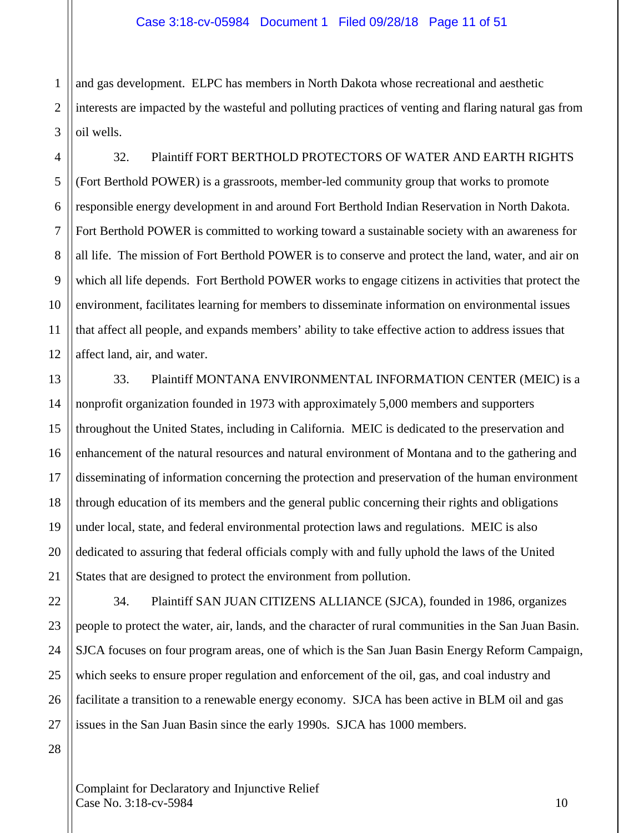1 2 3 and gas development. ELPC has members in North Dakota whose recreational and aesthetic interests are impacted by the wasteful and polluting practices of venting and flaring natural gas from oil wells.

4 5 6 7 8 9 10 11 12 32. Plaintiff FORT BERTHOLD PROTECTORS OF WATER AND EARTH RIGHTS (Fort Berthold POWER) is a grassroots, member-led community group that works to promote responsible energy development in and around Fort Berthold Indian Reservation in North Dakota. Fort Berthold POWER is committed to working toward a sustainable society with an awareness for all life. The mission of Fort Berthold POWER is to conserve and protect the land, water, and air on which all life depends. Fort Berthold POWER works to engage citizens in activities that protect the environment, facilitates learning for members to disseminate information on environmental issues that affect all people, and expands members' ability to take effective action to address issues that affect land, air, and water.

13 14 15 16 17 18 19 20 21 33. Plaintiff MONTANA ENVIRONMENTAL INFORMATION CENTER (MEIC) is a nonprofit organization founded in 1973 with approximately 5,000 members and supporters throughout the United States, including in California. MEIC is dedicated to the preservation and enhancement of the natural resources and natural environment of Montana and to the gathering and disseminating of information concerning the protection and preservation of the human environment through education of its members and the general public concerning their rights and obligations under local, state, and federal environmental protection laws and regulations. MEIC is also dedicated to assuring that federal officials comply with and fully uphold the laws of the United States that are designed to protect the environment from pollution.

34. Plaintiff SAN JUAN CITIZENS ALLIANCE (SJCA), founded in 1986, organizes people to protect the water, air, lands, and the character of rural communities in the San Juan Basin. SJCA focuses on four program areas, one of which is the San Juan Basin Energy Reform Campaign, which seeks to ensure proper regulation and enforcement of the oil, gas, and coal industry and facilitate a transition to a renewable energy economy. SJCA has been active in BLM oil and gas issues in the San Juan Basin since the early 1990s. SJCA has 1000 members.

28

22

23

24

25

26

27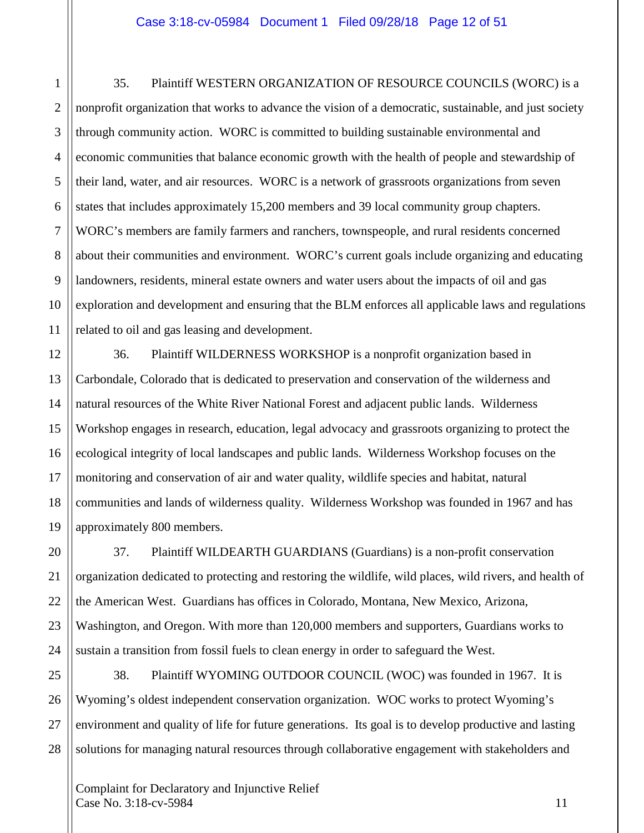1

2

3

4

5

6

7

8

9

10

11

20

21

22

23

24

35. Plaintiff WESTERN ORGANIZATION OF RESOURCE COUNCILS (WORC) is a nonprofit organization that works to advance the vision of a democratic, sustainable, and just society through community action. WORC is committed to building sustainable environmental and economic communities that balance economic growth with the health of people and stewardship of their land, water, and air resources. WORC is a network of grassroots organizations from seven states that includes approximately 15,200 members and 39 local community group chapters. WORC's members are family farmers and ranchers, townspeople, and rural residents concerned about their communities and environment. WORC's current goals include organizing and educating landowners, residents, mineral estate owners and water users about the impacts of oil and gas exploration and development and ensuring that the BLM enforces all applicable laws and regulations related to oil and gas leasing and development.

12 13 14 15 16 17 18 19 36. Plaintiff WILDERNESS WORKSHOP is a nonprofit organization based in Carbondale, Colorado that is dedicated to preservation and conservation of the wilderness and natural resources of the White River National Forest and adjacent public lands. Wilderness Workshop engages in research, education, legal advocacy and grassroots organizing to protect the ecological integrity of local landscapes and public lands. Wilderness Workshop focuses on the monitoring and conservation of air and water quality, wildlife species and habitat, natural communities and lands of wilderness quality. Wilderness Workshop was founded in 1967 and has approximately 800 members.

37. Plaintiff WILDEARTH GUARDIANS (Guardians) is a non-profit conservation organization dedicated to protecting and restoring the wildlife, wild places, wild rivers, and health of the American West. Guardians has offices in Colorado, Montana, New Mexico, Arizona, Washington, and Oregon. With more than 120,000 members and supporters, Guardians works to sustain a transition from fossil fuels to clean energy in order to safeguard the West.

25 26 27 28 38. Plaintiff WYOMING OUTDOOR COUNCIL (WOC) was founded in 1967. It is Wyoming's oldest independent conservation organization. WOC works to protect Wyoming's environment and quality of life for future generations. Its goal is to develop productive and lasting solutions for managing natural resources through collaborative engagement with stakeholders and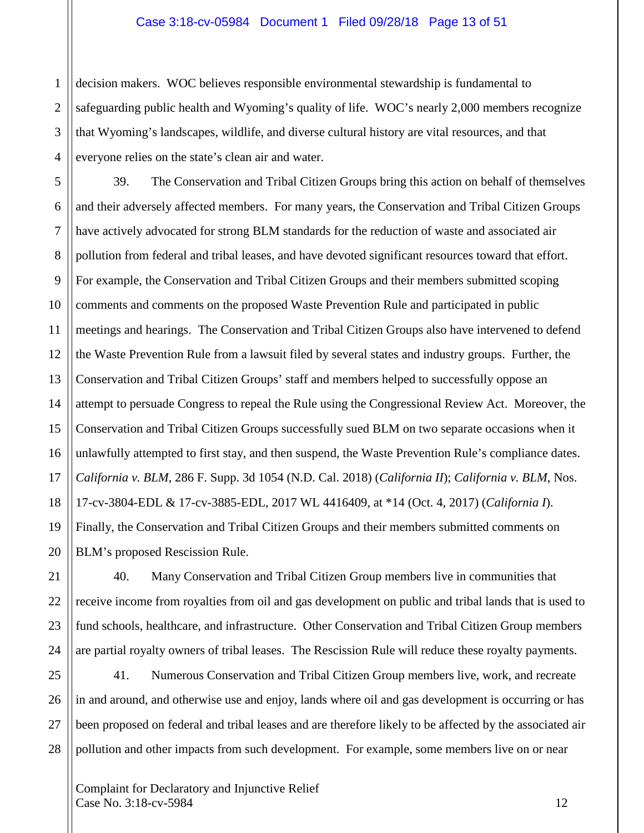#### Case 3:18-cv-05984 Document 1 Filed 09/28/18 Page 13 of 51

decision makers. WOC believes responsible environmental stewardship is fundamental to safeguarding public health and Wyoming's quality of life. WOC's nearly 2,000 members recognize that Wyoming's landscapes, wildlife, and diverse cultural history are vital resources, and that everyone relies on the state's clean air and water.

39. The Conservation and Tribal Citizen Groups bring this action on behalf of themselves and their adversely affected members. For many years, the Conservation and Tribal Citizen Groups have actively advocated for strong BLM standards for the reduction of waste and associated air pollution from federal and tribal leases, and have devoted significant resources toward that effort. For example, the Conservation and Tribal Citizen Groups and their members submitted scoping comments and comments on the proposed Waste Prevention Rule and participated in public meetings and hearings. The Conservation and Tribal Citizen Groups also have intervened to defend the Waste Prevention Rule from a lawsuit filed by several states and industry groups. Further, the Conservation and Tribal Citizen Groups' staff and members helped to successfully oppose an attempt to persuade Congress to repeal the Rule using the Congressional Review Act. Moreover, the Conservation and Tribal Citizen Groups successfully sued BLM on two separate occasions when it unlawfully attempted to first stay, and then suspend, the Waste Prevention Rule's compliance dates. *California v. BLM*, 286 F. Supp. 3d 1054 (N.D. Cal. 2018) (*California II*); *California v. BLM*, Nos. 17-cv-3804-EDL & 17-cv-3885-EDL, 2017 WL 4416409, at \*14 (Oct. 4, 2017) (*California I*). Finally, the Conservation and Tribal Citizen Groups and their members submitted comments on BLM's proposed Rescission Rule.

40. Many Conservation and Tribal Citizen Group members live in communities that receive income from royalties from oil and gas development on public and tribal lands that is used to fund schools, healthcare, and infrastructure. Other Conservation and Tribal Citizen Group members are partial royalty owners of tribal leases. The Rescission Rule will reduce these royalty payments.

41. Numerous Conservation and Tribal Citizen Group members live, work, and recreate in and around, and otherwise use and enjoy, lands where oil and gas development is occurring or has been proposed on federal and tribal leases and are therefore likely to be affected by the associated air pollution and other impacts from such development. For example, some members live on or near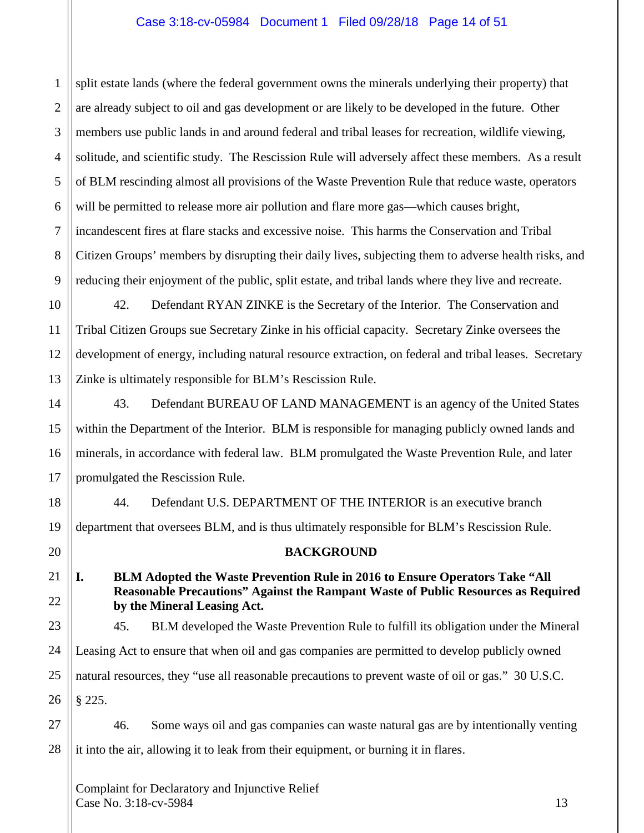# Case 3:18-cv-05984 Document 1 Filed 09/28/18 Page 14 of 51

1 2 3 4 5 6 7 8 9 split estate lands (where the federal government owns the minerals underlying their property) that are already subject to oil and gas development or are likely to be developed in the future. Other members use public lands in and around federal and tribal leases for recreation, wildlife viewing, solitude, and scientific study. The Rescission Rule will adversely affect these members. As a result of BLM rescinding almost all provisions of the Waste Prevention Rule that reduce waste, operators will be permitted to release more air pollution and flare more gas—which causes bright, incandescent fires at flare stacks and excessive noise. This harms the Conservation and Tribal Citizen Groups' members by disrupting their daily lives, subjecting them to adverse health risks, and reducing their enjoyment of the public, split estate, and tribal lands where they live and recreate.

10 11 12 13 42. Defendant RYAN ZINKE is the Secretary of the Interior. The Conservation and Tribal Citizen Groups sue Secretary Zinke in his official capacity. Secretary Zinke oversees the development of energy, including natural resource extraction, on federal and tribal leases. Secretary Zinke is ultimately responsible for BLM's Rescission Rule.

14 15 16 17 43. Defendant BUREAU OF LAND MANAGEMENT is an agency of the United States within the Department of the Interior. BLM is responsible for managing publicly owned lands and minerals, in accordance with federal law. BLM promulgated the Waste Prevention Rule, and later promulgated the Rescission Rule.

18 19 44. Defendant U.S. DEPARTMENT OF THE INTERIOR is an executive branch department that oversees BLM, and is thus ultimately responsible for BLM's Rescission Rule.

**BACKGROUND**

**I. BLM Adopted the Waste Prevention Rule in 2016 to Ensure Operators Take "All Reasonable Precautions" Against the Rampant Waste of Public Resources as Required by the Mineral Leasing Act.**

23 24 25 26 45. BLM developed the Waste Prevention Rule to fulfill its obligation under the Mineral Leasing Act to ensure that when oil and gas companies are permitted to develop publicly owned natural resources, they "use all reasonable precautions to prevent waste of oil or gas." 30 U.S.C. § 225.

27 28 46. Some ways oil and gas companies can waste natural gas are by intentionally venting it into the air, allowing it to leak from their equipment, or burning it in flares.

Complaint for Declaratory and Injunctive Relief  $\text{Case No. } 3:18\text{-}ev\text{-}5984$  13

20

21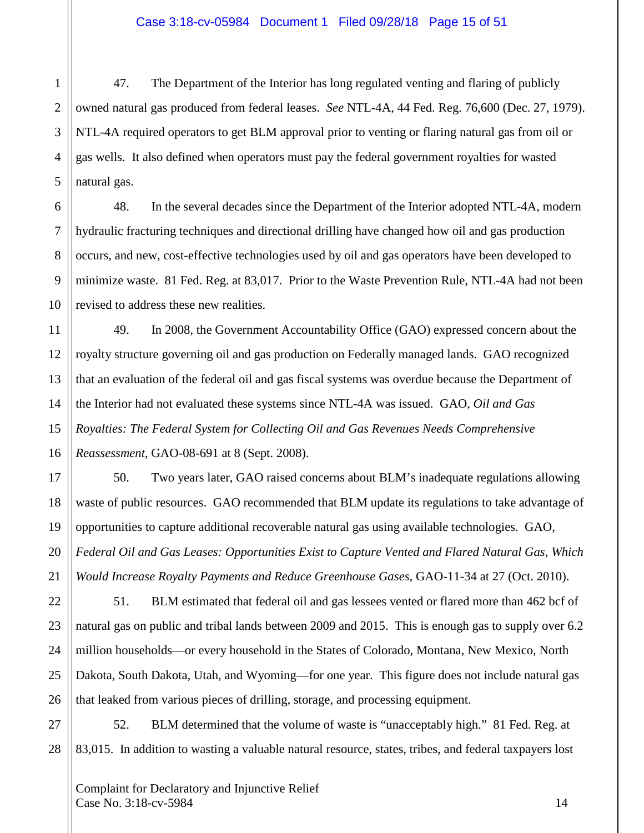47. The Department of the Interior has long regulated venting and flaring of publicly owned natural gas produced from federal leases. *See* NTL-4A, 44 Fed. Reg. 76,600 (Dec. 27, 1979). NTL-4A required operators to get BLM approval prior to venting or flaring natural gas from oil or gas wells. It also defined when operators must pay the federal government royalties for wasted natural gas.

48. In the several decades since the Department of the Interior adopted NTL-4A, modern hydraulic fracturing techniques and directional drilling have changed how oil and gas production occurs, and new, cost-effective technologies used by oil and gas operators have been developed to minimize waste. 81 Fed. Reg. at 83,017. Prior to the Waste Prevention Rule, NTL-4A had not been revised to address these new realities.

49. In 2008, the Government Accountability Office (GAO) expressed concern about the royalty structure governing oil and gas production on Federally managed lands. GAO recognized that an evaluation of the federal oil and gas fiscal systems was overdue because the Department of the Interior had not evaluated these systems since NTL-4A was issued. GAO, *Oil and Gas Royalties: The Federal System for Collecting Oil and Gas Revenues Needs Comprehensive Reassessment*, GAO-08-691 at 8 (Sept. 2008).

50. Two years later, GAO raised concerns about BLM's inadequate regulations allowing waste of public resources. GAO recommended that BLM update its regulations to take advantage of opportunities to capture additional recoverable natural gas using available technologies. GAO, *Federal Oil and Gas Leases: Opportunities Exist to Capture Vented and Flared Natural Gas, Which Would Increase Royalty Payments and Reduce Greenhouse Gases*, GAO-11-34 at 27 (Oct. 2010).

51. BLM estimated that federal oil and gas lessees vented or flared more than 462 bcf of natural gas on public and tribal lands between 2009 and 2015. This is enough gas to supply over 6.2 million households—or every household in the States of Colorado, Montana, New Mexico, North Dakota, South Dakota, Utah, and Wyoming—for one year. This figure does not include natural gas that leaked from various pieces of drilling, storage, and processing equipment.

52. BLM determined that the volume of waste is "unacceptably high." 81 Fed. Reg. at 83,015. In addition to wasting a valuable natural resource, states, tribes, and federal taxpayers lost

Complaint for Declaratory and Injunctive Relief  $\text{Case No. } 3:18\text{-cv-}5984$  14

1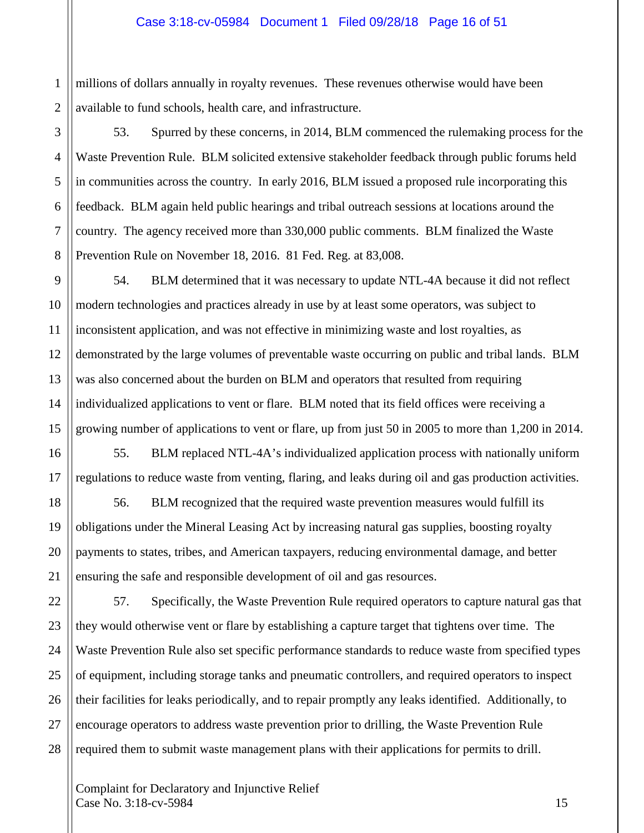1 2 millions of dollars annually in royalty revenues. These revenues otherwise would have been available to fund schools, health care, and infrastructure.

53. Spurred by these concerns, in 2014, BLM commenced the rulemaking process for the Waste Prevention Rule. BLM solicited extensive stakeholder feedback through public forums held in communities across the country. In early 2016, BLM issued a proposed rule incorporating this feedback. BLM again held public hearings and tribal outreach sessions at locations around the country. The agency received more than 330,000 public comments. BLM finalized the Waste Prevention Rule on November 18, 2016. 81 Fed. Reg. at 83,008.

54. BLM determined that it was necessary to update NTL-4A because it did not reflect modern technologies and practices already in use by at least some operators, was subject to inconsistent application, and was not effective in minimizing waste and lost royalties, as demonstrated by the large volumes of preventable waste occurring on public and tribal lands. BLM was also concerned about the burden on BLM and operators that resulted from requiring individualized applications to vent or flare. BLM noted that its field offices were receiving a growing number of applications to vent or flare, up from just 50 in 2005 to more than 1,200 in 2014.

55. BLM replaced NTL-4A's individualized application process with nationally uniform regulations to reduce waste from venting, flaring, and leaks during oil and gas production activities.

56. BLM recognized that the required waste prevention measures would fulfill its obligations under the Mineral Leasing Act by increasing natural gas supplies, boosting royalty payments to states, tribes, and American taxpayers, reducing environmental damage, and better ensuring the safe and responsible development of oil and gas resources.

57. Specifically, the Waste Prevention Rule required operators to capture natural gas that they would otherwise vent or flare by establishing a capture target that tightens over time. The Waste Prevention Rule also set specific performance standards to reduce waste from specified types of equipment, including storage tanks and pneumatic controllers, and required operators to inspect their facilities for leaks periodically, and to repair promptly any leaks identified. Additionally, to encourage operators to address waste prevention prior to drilling, the Waste Prevention Rule required them to submit waste management plans with their applications for permits to drill.

Complaint for Declaratory and Injunctive Relief  $\text{Case No. } 3:18\text{-}c\text{v}-5984$  15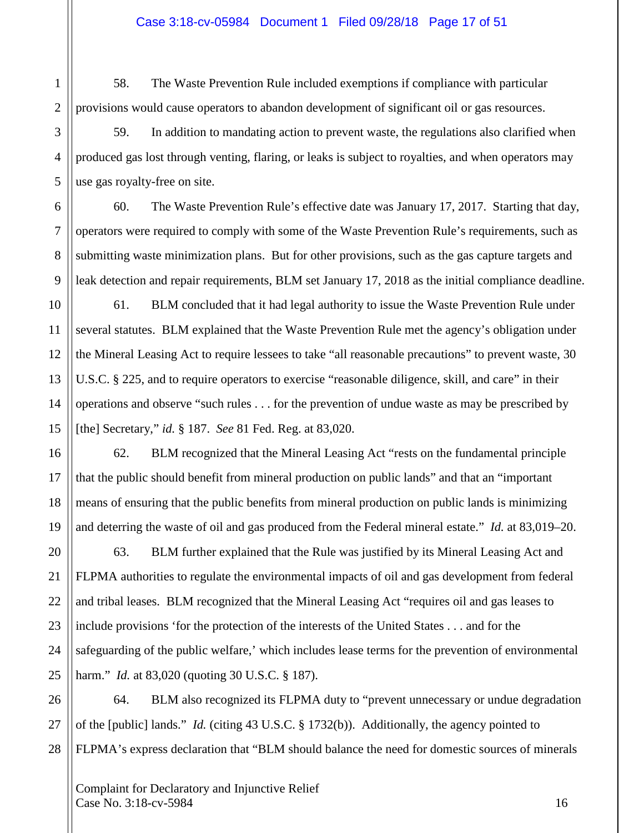58. The Waste Prevention Rule included exemptions if compliance with particular provisions would cause operators to abandon development of significant oil or gas resources.

59. In addition to mandating action to prevent waste, the regulations also clarified when produced gas lost through venting, flaring, or leaks is subject to royalties, and when operators may use gas royalty-free on site.

60. The Waste Prevention Rule's effective date was January 17, 2017. Starting that day, operators were required to comply with some of the Waste Prevention Rule's requirements, such as submitting waste minimization plans. But for other provisions, such as the gas capture targets and leak detection and repair requirements, BLM set January 17, 2018 as the initial compliance deadline.

61. BLM concluded that it had legal authority to issue the Waste Prevention Rule under several statutes. BLM explained that the Waste Prevention Rule met the agency's obligation under the Mineral Leasing Act to require lessees to take "all reasonable precautions" to prevent waste, 30 U.S.C. § 225, and to require operators to exercise "reasonable diligence, skill, and care" in their operations and observe "such rules . . . for the prevention of undue waste as may be prescribed by [the] Secretary," *id.* § 187. *See* 81 Fed. Reg. at 83,020.

62. BLM recognized that the Mineral Leasing Act "rests on the fundamental principle that the public should benefit from mineral production on public lands" and that an "important means of ensuring that the public benefits from mineral production on public lands is minimizing and deterring the waste of oil and gas produced from the Federal mineral estate." *Id.* at 83,019–20.

63. BLM further explained that the Rule was justified by its Mineral Leasing Act and FLPMA authorities to regulate the environmental impacts of oil and gas development from federal and tribal leases. BLM recognized that the Mineral Leasing Act "requires oil and gas leases to include provisions 'for the protection of the interests of the United States . . . and for the safeguarding of the public welfare,' which includes lease terms for the prevention of environmental harm." *Id.* at 83,020 (quoting 30 U.S.C. § 187).

26 27 28 64. BLM also recognized its FLPMA duty to "prevent unnecessary or undue degradation of the [public] lands." *Id.* (citing 43 U.S.C. § 1732(b)). Additionally, the agency pointed to FLPMA's express declaration that "BLM should balance the need for domestic sources of minerals

Complaint for Declaratory and Injunctive Relief  $\text{Case No. } 3:18\text{-cv-}5984$  16

1

2

3

4

5

6

7

8

9

10

11

12

13

14

15

16

17

18

19

20

21

22

23

24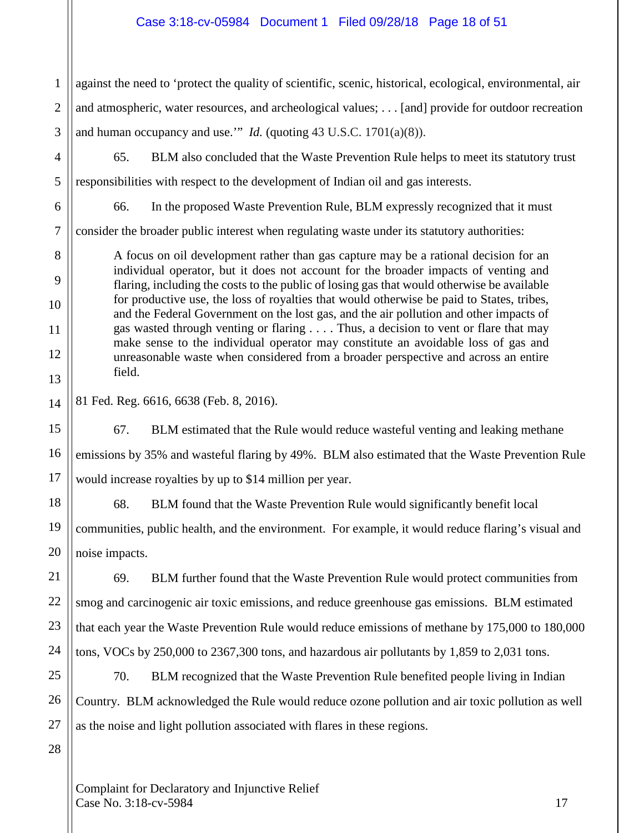# Case 3:18-cv-05984 Document 1 Filed 09/28/18 Page 18 of 51

1 2 3 against the need to 'protect the quality of scientific, scenic, historical, ecological, environmental, air and atmospheric, water resources, and archeological values; . . . [and] provide for outdoor recreation and human occupancy and use.'" *Id.* (quoting 43 U.S.C. 1701(a)(8)).

4

5

6

8

9

10

11

12

13

14

15

16

17

21

22

23

24

65. BLM also concluded that the Waste Prevention Rule helps to meet its statutory trust

responsibilities with respect to the development of Indian oil and gas interests.

66. In the proposed Waste Prevention Rule, BLM expressly recognized that it must

7 consider the broader public interest when regulating waste under its statutory authorities:

A focus on oil development rather than gas capture may be a rational decision for an individual operator, but it does not account for the broader impacts of venting and flaring, including the costs to the public of losing gas that would otherwise be available for productive use, the loss of royalties that would otherwise be paid to States, tribes, and the Federal Government on the lost gas, and the air pollution and other impacts of gas wasted through venting or flaring . . . . Thus, a decision to vent or flare that may make sense to the individual operator may constitute an avoidable loss of gas and unreasonable waste when considered from a broader perspective and across an entire field.

81 Fed. Reg. 6616, 6638 (Feb. 8, 2016).

67. BLM estimated that the Rule would reduce wasteful venting and leaking methane emissions by 35% and wasteful flaring by 49%. BLM also estimated that the Waste Prevention Rule would increase royalties by up to \$14 million per year.

18 19 20 68. BLM found that the Waste Prevention Rule would significantly benefit local communities, public health, and the environment. For example, it would reduce flaring's visual and noise impacts.

69. BLM further found that the Waste Prevention Rule would protect communities from smog and carcinogenic air toxic emissions, and reduce greenhouse gas emissions. BLM estimated that each year the Waste Prevention Rule would reduce emissions of methane by 175,000 to 180,000 tons, VOCs by 250,000 to 2367,300 tons, and hazardous air pollutants by 1,859 to 2,031 tons.

25 26 27 70. BLM recognized that the Waste Prevention Rule benefited people living in Indian Country. BLM acknowledged the Rule would reduce ozone pollution and air toxic pollution as well as the noise and light pollution associated with flares in these regions.

28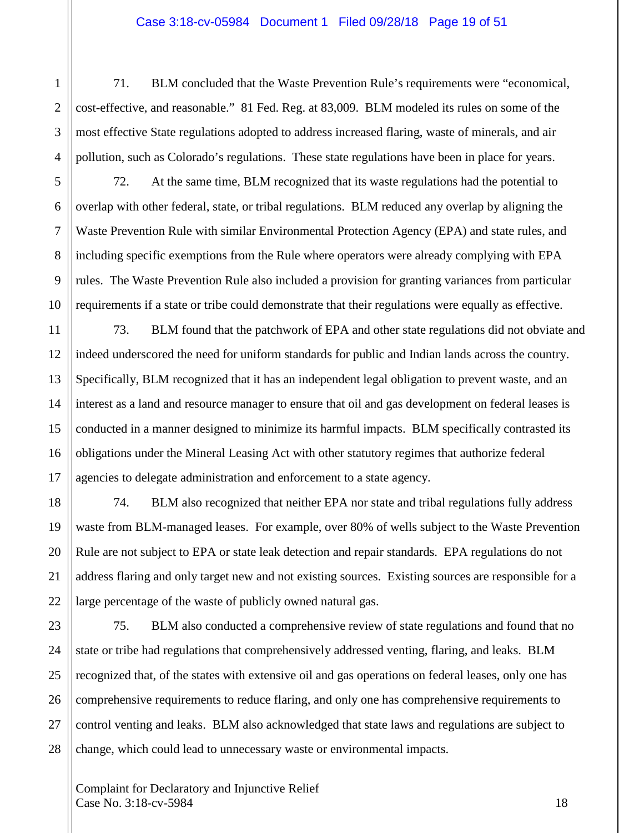#### Case 3:18-cv-05984 Document 1 Filed 09/28/18 Page 19 of 51

71. BLM concluded that the Waste Prevention Rule's requirements were "economical, cost-effective, and reasonable." 81 Fed. Reg. at 83,009. BLM modeled its rules on some of the most effective State regulations adopted to address increased flaring, waste of minerals, and air pollution, such as Colorado's regulations. These state regulations have been in place for years.

1

2

3

4

5

6

7

8

9

10

11

12

13

14

15

16

17

18

19

20

21

22

72. At the same time, BLM recognized that its waste regulations had the potential to overlap with other federal, state, or tribal regulations. BLM reduced any overlap by aligning the Waste Prevention Rule with similar Environmental Protection Agency (EPA) and state rules, and including specific exemptions from the Rule where operators were already complying with EPA rules. The Waste Prevention Rule also included a provision for granting variances from particular requirements if a state or tribe could demonstrate that their regulations were equally as effective.

73. BLM found that the patchwork of EPA and other state regulations did not obviate and indeed underscored the need for uniform standards for public and Indian lands across the country. Specifically, BLM recognized that it has an independent legal obligation to prevent waste, and an interest as a land and resource manager to ensure that oil and gas development on federal leases is conducted in a manner designed to minimize its harmful impacts. BLM specifically contrasted its obligations under the Mineral Leasing Act with other statutory regimes that authorize federal agencies to delegate administration and enforcement to a state agency.

74. BLM also recognized that neither EPA nor state and tribal regulations fully address waste from BLM-managed leases. For example, over 80% of wells subject to the Waste Prevention Rule are not subject to EPA or state leak detection and repair standards. EPA regulations do not address flaring and only target new and not existing sources. Existing sources are responsible for a large percentage of the waste of publicly owned natural gas.

23 24 25 26 27 28 75. BLM also conducted a comprehensive review of state regulations and found that no state or tribe had regulations that comprehensively addressed venting, flaring, and leaks. BLM recognized that, of the states with extensive oil and gas operations on federal leases, only one has comprehensive requirements to reduce flaring, and only one has comprehensive requirements to control venting and leaks. BLM also acknowledged that state laws and regulations are subject to change, which could lead to unnecessary waste or environmental impacts.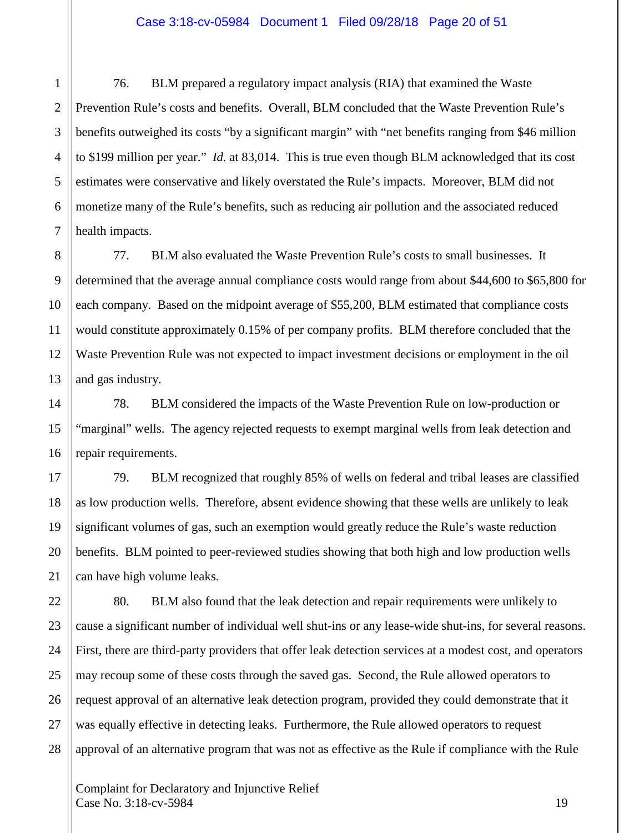#### Case 3:18-cv-05984 Document 1 Filed 09/28/18 Page 20 of 51

3 4 5 6 7 76. BLM prepared a regulatory impact analysis (RIA) that examined the Waste Prevention Rule's costs and benefits. Overall, BLM concluded that the Waste Prevention Rule's benefits outweighed its costs "by a significant margin" with "net benefits ranging from \$46 million to \$199 million per year." *Id.* at 83,014. This is true even though BLM acknowledged that its cost estimates were conservative and likely overstated the Rule's impacts. Moreover, BLM did not monetize many of the Rule's benefits, such as reducing air pollution and the associated reduced health impacts.

1

2

11

14

15

16

17

18

19

20

21

23

24

25

27

28

8 9 10 12 13 77. BLM also evaluated the Waste Prevention Rule's costs to small businesses. It determined that the average annual compliance costs would range from about \$44,600 to \$65,800 for each company. Based on the midpoint average of \$55,200, BLM estimated that compliance costs would constitute approximately 0.15% of per company profits. BLM therefore concluded that the Waste Prevention Rule was not expected to impact investment decisions or employment in the oil and gas industry.

78. BLM considered the impacts of the Waste Prevention Rule on low-production or "marginal" wells. The agency rejected requests to exempt marginal wells from leak detection and repair requirements.

79. BLM recognized that roughly 85% of wells on federal and tribal leases are classified as low production wells. Therefore, absent evidence showing that these wells are unlikely to leak significant volumes of gas, such an exemption would greatly reduce the Rule's waste reduction benefits. BLM pointed to peer-reviewed studies showing that both high and low production wells can have high volume leaks.

22 26 80. BLM also found that the leak detection and repair requirements were unlikely to cause a significant number of individual well shut-ins or any lease-wide shut-ins, for several reasons. First, there are third-party providers that offer leak detection services at a modest cost, and operators may recoup some of these costs through the saved gas. Second, the Rule allowed operators to request approval of an alternative leak detection program, provided they could demonstrate that it was equally effective in detecting leaks. Furthermore, the Rule allowed operators to request approval of an alternative program that was not as effective as the Rule if compliance with the Rule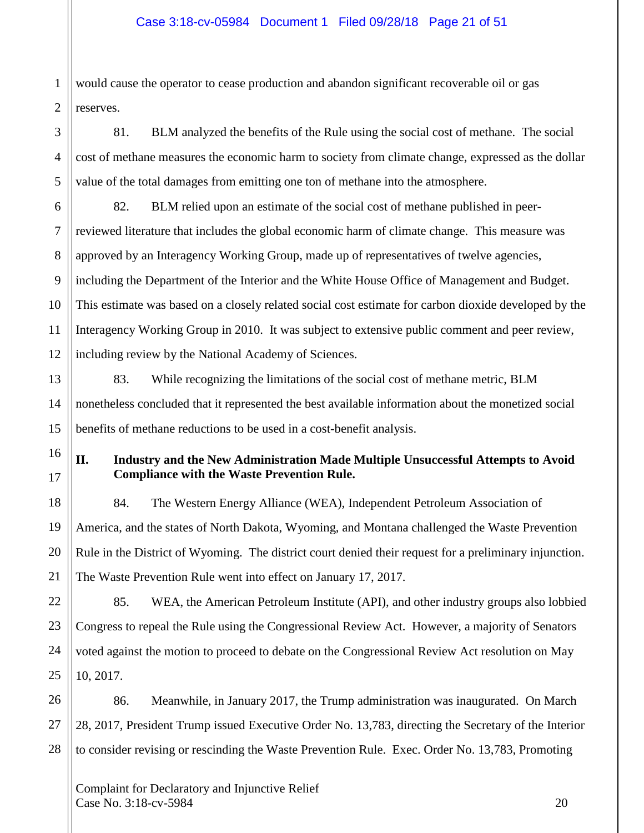1 2 would cause the operator to cease production and abandon significant recoverable oil or gas reserves.

81. BLM analyzed the benefits of the Rule using the social cost of methane. The social cost of methane measures the economic harm to society from climate change, expressed as the dollar value of the total damages from emitting one ton of methane into the atmosphere.

6 7 8 9 82. BLM relied upon an estimate of the social cost of methane published in peerreviewed literature that includes the global economic harm of climate change. This measure was approved by an Interagency Working Group, made up of representatives of twelve agencies, including the Department of the Interior and the White House Office of Management and Budget. This estimate was based on a closely related social cost estimate for carbon dioxide developed by the Interagency Working Group in 2010. It was subject to extensive public comment and peer review, including review by the National Academy of Sciences.

83. While recognizing the limitations of the social cost of methane metric, BLM nonetheless concluded that it represented the best available information about the monetized social benefits of methane reductions to be used in a cost-benefit analysis.

# **II. Industry and the New Administration Made Multiple Unsuccessful Attempts to Avoid Compliance with the Waste Prevention Rule.**

84. The Western Energy Alliance (WEA), Independent Petroleum Association of America, and the states of North Dakota, Wyoming, and Montana challenged the Waste Prevention Rule in the District of Wyoming. The district court denied their request for a preliminary injunction. The Waste Prevention Rule went into effect on January 17, 2017.

85. WEA, the American Petroleum Institute (API), and other industry groups also lobbied Congress to repeal the Rule using the Congressional Review Act. However, a majority of Senators voted against the motion to proceed to debate on the Congressional Review Act resolution on May 10, 2017.

86. Meanwhile, in January 2017, the Trump administration was inaugurated. On March 28, 2017, President Trump issued Executive Order No. 13,783, directing the Secretary of the Interior to consider revising or rescinding the Waste Prevention Rule. Exec. Order No. 13,783, Promoting

Complaint for Declaratory and Injunctive Relief Case No. 3:18-cv-5984 20

3

4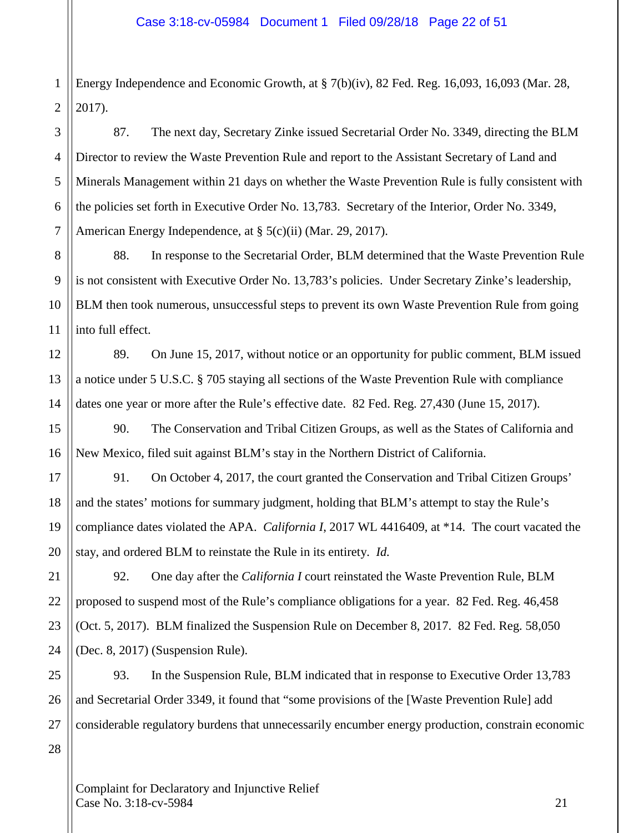1 Energy Independence and Economic Growth, at § 7(b)(iv), 82 Fed. Reg. 16,093, 16,093 (Mar. 28, 2017).

87. The next day, Secretary Zinke issued Secretarial Order No. 3349, directing the BLM Director to review the Waste Prevention Rule and report to the Assistant Secretary of Land and Minerals Management within 21 days on whether the Waste Prevention Rule is fully consistent with the policies set forth in Executive Order No. 13,783. Secretary of the Interior, Order No. 3349, American Energy Independence, at § 5(c)(ii) (Mar. 29, 2017).

88. In response to the Secretarial Order, BLM determined that the Waste Prevention Rule is not consistent with Executive Order No. 13,783's policies. Under Secretary Zinke's leadership, BLM then took numerous, unsuccessful steps to prevent its own Waste Prevention Rule from going into full effect.

89. On June 15, 2017, without notice or an opportunity for public comment, BLM issued a notice under 5 U.S.C. § 705 staying all sections of the Waste Prevention Rule with compliance dates one year or more after the Rule's effective date. 82 Fed. Reg. 27,430 (June 15, 2017).

90. The Conservation and Tribal Citizen Groups, as well as the States of California and New Mexico, filed suit against BLM's stay in the Northern District of California.

91. On October 4, 2017, the court granted the Conservation and Tribal Citizen Groups' and the states' motions for summary judgment, holding that BLM's attempt to stay the Rule's compliance dates violated the APA. *California I*, 2017 WL 4416409, at \*14. The court vacated the stay, and ordered BLM to reinstate the Rule in its entirety. *Id.*

92. One day after the *California I* court reinstated the Waste Prevention Rule, BLM proposed to suspend most of the Rule's compliance obligations for a year. 82 Fed. Reg. 46,458 (Oct. 5, 2017). BLM finalized the Suspension Rule on December 8, 2017. 82 Fed. Reg. 58,050 (Dec. 8, 2017) (Suspension Rule).

93. In the Suspension Rule, BLM indicated that in response to Executive Order 13,783 and Secretarial Order 3349, it found that "some provisions of the [Waste Prevention Rule] add considerable regulatory burdens that unnecessarily encumber energy production, constrain economic

Complaint for Declaratory and Injunctive Relief  $\text{Case No. } 3:18\text{-}c\text{v}-5984$  21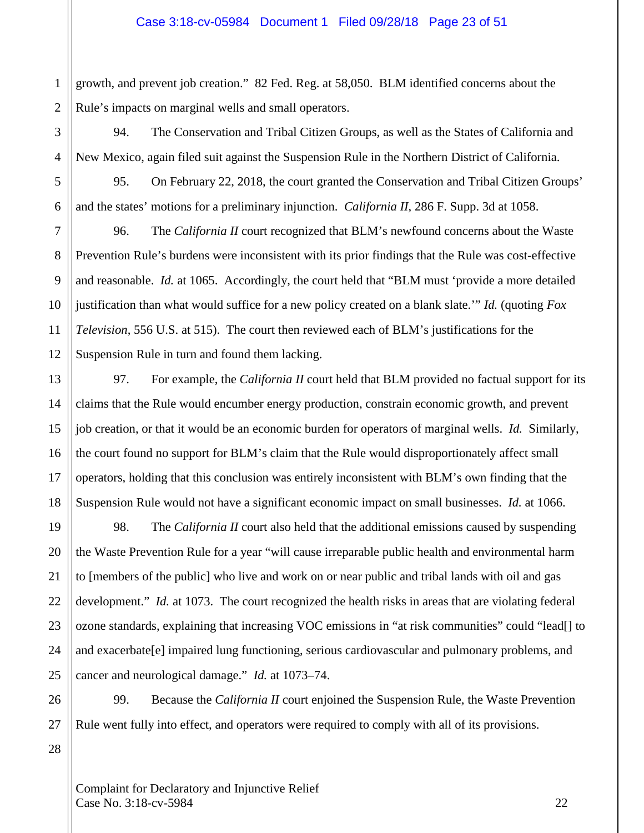1 2 growth, and prevent job creation." 82 Fed. Reg. at 58,050. BLM identified concerns about the Rule's impacts on marginal wells and small operators.

94. The Conservation and Tribal Citizen Groups, as well as the States of California and New Mexico, again filed suit against the Suspension Rule in the Northern District of California.

95. On February 22, 2018, the court granted the Conservation and Tribal Citizen Groups' and the states' motions for a preliminary injunction. *California II*, 286 F. Supp. 3d at 1058.

96. The *California II* court recognized that BLM's newfound concerns about the Waste Prevention Rule's burdens were inconsistent with its prior findings that the Rule was cost-effective and reasonable. *Id.* at 1065. Accordingly, the court held that "BLM must 'provide a more detailed justification than what would suffice for a new policy created on a blank slate.'" *Id.* (quoting *Fox Television*, 556 U.S. at 515). The court then reviewed each of BLM's justifications for the Suspension Rule in turn and found them lacking.

97. For example, the *California II* court held that BLM provided no factual support for its claims that the Rule would encumber energy production, constrain economic growth, and prevent job creation, or that it would be an economic burden for operators of marginal wells. *Id.* Similarly, the court found no support for BLM's claim that the Rule would disproportionately affect small operators, holding that this conclusion was entirely inconsistent with BLM's own finding that the Suspension Rule would not have a significant economic impact on small businesses. *Id.* at 1066.

98. The *California II* court also held that the additional emissions caused by suspending the Waste Prevention Rule for a year "will cause irreparable public health and environmental harm to [members of the public] who live and work on or near public and tribal lands with oil and gas development." *Id.* at 1073. The court recognized the health risks in areas that are violating federal ozone standards, explaining that increasing VOC emissions in "at risk communities" could "lead[] to and exacerbate[e] impaired lung functioning, serious cardiovascular and pulmonary problems, and cancer and neurological damage." *Id.* at 1073–74.

26 27 99. Because the *California II* court enjoined the Suspension Rule, the Waste Prevention Rule went fully into effect, and operators were required to comply with all of its provisions.

28

3

4

5

6

7

8

9

10

11

12

13

14

15

16

17

18

19

20

21

22

23

24

25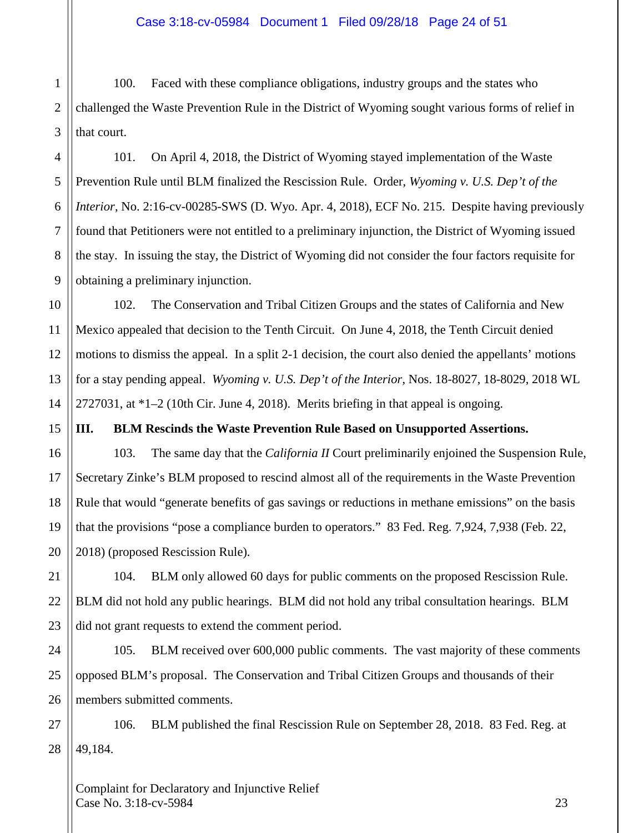1 2 3 100. Faced with these compliance obligations, industry groups and the states who challenged the Waste Prevention Rule in the District of Wyoming sought various forms of relief in that court.

101. On April 4, 2018, the District of Wyoming stayed implementation of the Waste Prevention Rule until BLM finalized the Rescission Rule. Order, *Wyoming v. U.S. Dep't of the Interior*, No. 2:16-cv-00285-SWS (D. Wyo. Apr. 4, 2018), ECF No. 215. Despite having previously found that Petitioners were not entitled to a preliminary injunction, the District of Wyoming issued the stay. In issuing the stay, the District of Wyoming did not consider the four factors requisite for obtaining a preliminary injunction.

102. The Conservation and Tribal Citizen Groups and the states of California and New Mexico appealed that decision to the Tenth Circuit. On June 4, 2018, the Tenth Circuit denied motions to dismiss the appeal. In a split 2-1 decision, the court also denied the appellants' motions for a stay pending appeal. *Wyoming v. U.S. Dep't of the Interior*, Nos. 18-8027, 18-8029, 2018 WL 2727031, at \*1–2 (10th Cir. June 4, 2018). Merits briefing in that appeal is ongoing.

**III. BLM Rescinds the Waste Prevention Rule Based on Unsupported Assertions.**

103. The same day that the *California II* Court preliminarily enjoined the Suspension Rule, Secretary Zinke's BLM proposed to rescind almost all of the requirements in the Waste Prevention Rule that would "generate benefits of gas savings or reductions in methane emissions" on the basis that the provisions "pose a compliance burden to operators." 83 Fed. Reg. 7,924, 7,938 (Feb. 22, 2018) (proposed Rescission Rule).

104. BLM only allowed 60 days for public comments on the proposed Rescission Rule. BLM did not hold any public hearings. BLM did not hold any tribal consultation hearings. BLM did not grant requests to extend the comment period.

105. BLM received over 600,000 public comments. The vast majority of these comments opposed BLM's proposal. The Conservation and Tribal Citizen Groups and thousands of their members submitted comments.

106. BLM published the final Rescission Rule on September 28, 2018. 83 Fed. Reg. at 49,184.

Complaint for Declaratory and Injunctive Relief Case No. 3:18-cv-5984 23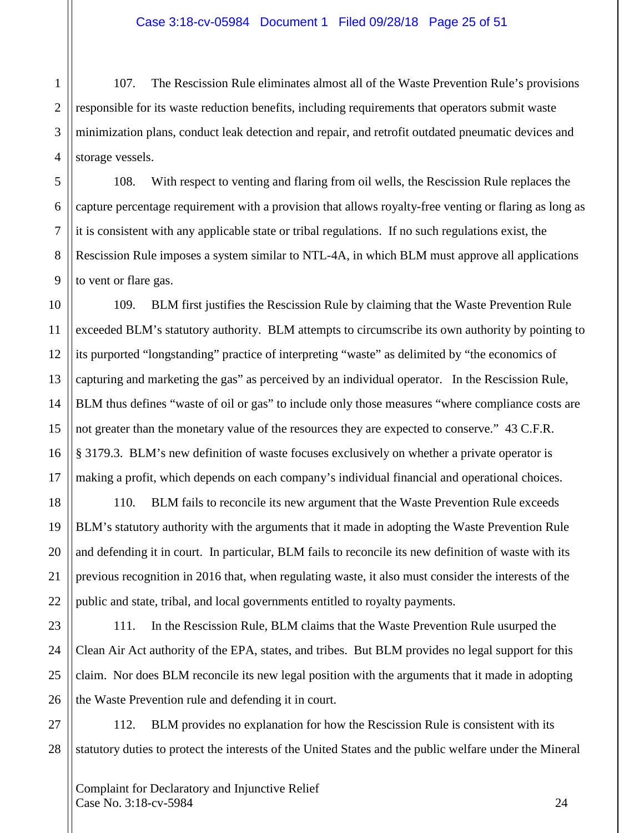107. The Rescission Rule eliminates almost all of the Waste Prevention Rule's provisions responsible for its waste reduction benefits, including requirements that operators submit waste minimization plans, conduct leak detection and repair, and retrofit outdated pneumatic devices and storage vessels.

108. With respect to venting and flaring from oil wells, the Rescission Rule replaces the capture percentage requirement with a provision that allows royalty-free venting or flaring as long as it is consistent with any applicable state or tribal regulations. If no such regulations exist, the Rescission Rule imposes a system similar to NTL-4A, in which BLM must approve all applications to vent or flare gas.

109. BLM first justifies the Rescission Rule by claiming that the Waste Prevention Rule exceeded BLM's statutory authority. BLM attempts to circumscribe its own authority by pointing to its purported "longstanding" practice of interpreting "waste" as delimited by "the economics of capturing and marketing the gas" as perceived by an individual operator. In the Rescission Rule, BLM thus defines "waste of oil or gas" to include only those measures "where compliance costs are not greater than the monetary value of the resources they are expected to conserve." 43 C.F.R. § 3179.3. BLM's new definition of waste focuses exclusively on whether a private operator is making a profit, which depends on each company's individual financial and operational choices.

110. BLM fails to reconcile its new argument that the Waste Prevention Rule exceeds BLM's statutory authority with the arguments that it made in adopting the Waste Prevention Rule and defending it in court. In particular, BLM fails to reconcile its new definition of waste with its previous recognition in 2016 that, when regulating waste, it also must consider the interests of the public and state, tribal, and local governments entitled to royalty payments.

111. In the Rescission Rule, BLM claims that the Waste Prevention Rule usurped the Clean Air Act authority of the EPA, states, and tribes. But BLM provides no legal support for this claim. Nor does BLM reconcile its new legal position with the arguments that it made in adopting the Waste Prevention rule and defending it in court.

112. BLM provides no explanation for how the Rescission Rule is consistent with its statutory duties to protect the interests of the United States and the public welfare under the Mineral

1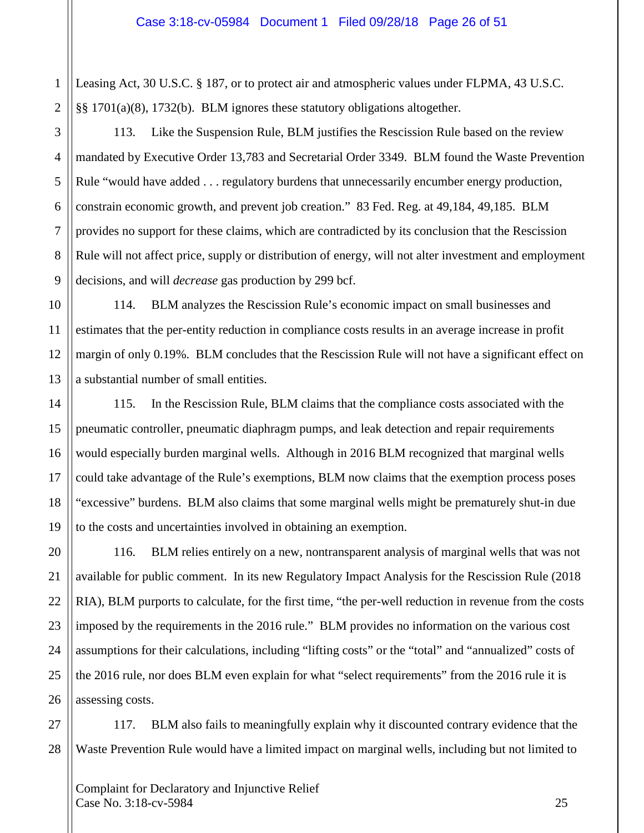1 2 Leasing Act, 30 U.S.C. § 187, or to protect air and atmospheric values under FLPMA, 43 U.S.C. §§ 1701(a)(8), 1732(b). BLM ignores these statutory obligations altogether.

113. Like the Suspension Rule, BLM justifies the Rescission Rule based on the review mandated by Executive Order 13,783 and Secretarial Order 3349. BLM found the Waste Prevention Rule "would have added . . . regulatory burdens that unnecessarily encumber energy production, constrain economic growth, and prevent job creation." 83 Fed. Reg. at 49,184, 49,185. BLM provides no support for these claims, which are contradicted by its conclusion that the Rescission Rule will not affect price, supply or distribution of energy, will not alter investment and employment decisions, and will *decrease* gas production by 299 bcf.

114. BLM analyzes the Rescission Rule's economic impact on small businesses and estimates that the per-entity reduction in compliance costs results in an average increase in profit margin of only 0.19%. BLM concludes that the Rescission Rule will not have a significant effect on a substantial number of small entities.

115. In the Rescission Rule, BLM claims that the compliance costs associated with the pneumatic controller, pneumatic diaphragm pumps, and leak detection and repair requirements would especially burden marginal wells. Although in 2016 BLM recognized that marginal wells could take advantage of the Rule's exemptions, BLM now claims that the exemption process poses "excessive" burdens. BLM also claims that some marginal wells might be prematurely shut-in due to the costs and uncertainties involved in obtaining an exemption.

116. BLM relies entirely on a new, nontransparent analysis of marginal wells that was not available for public comment. In its new Regulatory Impact Analysis for the Rescission Rule (2018 RIA), BLM purports to calculate, for the first time, "the per-well reduction in revenue from the costs imposed by the requirements in the 2016 rule." BLM provides no information on the various cost assumptions for their calculations, including "lifting costs" or the "total" and "annualized" costs of the 2016 rule, nor does BLM even explain for what "select requirements" from the 2016 rule it is assessing costs.

28 117. BLM also fails to meaningfully explain why it discounted contrary evidence that the Waste Prevention Rule would have a limited impact on marginal wells, including but not limited to

Complaint for Declaratory and Injunctive Relief Case No. 3:18-cv-5984 25

3

4

5

6

7

8

9

10

11

12

13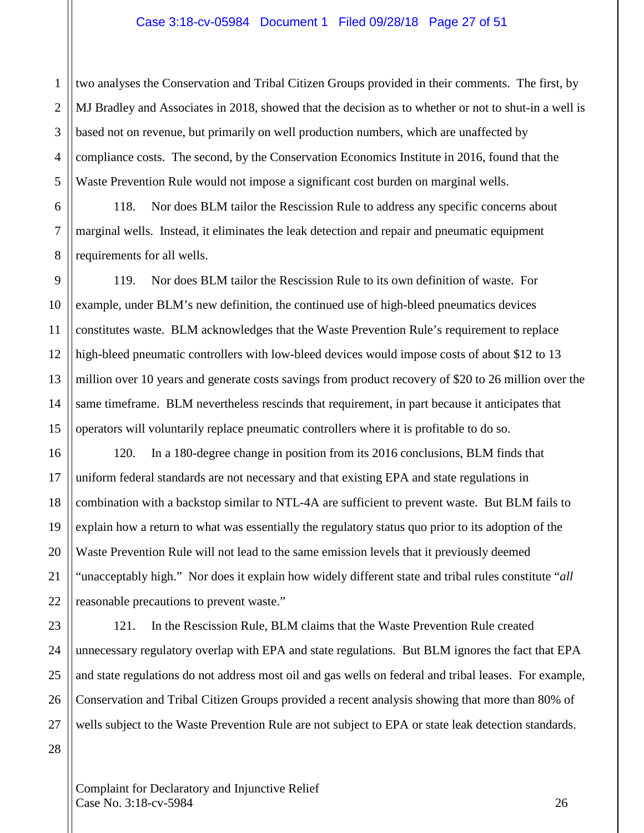#### Case 3:18-cv-05984 Document 1 Filed 09/28/18 Page 27 of 51

two analyses the Conservation and Tribal Citizen Groups provided in their comments. The first, by MJ Bradley and Associates in 2018, showed that the decision as to whether or not to shut-in a well is based not on revenue, but primarily on well production numbers, which are unaffected by compliance costs. The second, by the Conservation Economics Institute in 2016, found that the Waste Prevention Rule would not impose a significant cost burden on marginal wells.

118. Nor does BLM tailor the Rescission Rule to address any specific concerns about marginal wells. Instead, it eliminates the leak detection and repair and pneumatic equipment requirements for all wells.

119. Nor does BLM tailor the Rescission Rule to its own definition of waste. For example, under BLM's new definition, the continued use of high-bleed pneumatics devices constitutes waste. BLM acknowledges that the Waste Prevention Rule's requirement to replace high-bleed pneumatic controllers with low-bleed devices would impose costs of about \$12 to 13 million over 10 years and generate costs savings from product recovery of \$20 to 26 million over the same timeframe. BLM nevertheless rescinds that requirement, in part because it anticipates that operators will voluntarily replace pneumatic controllers where it is profitable to do so.

120. In a 180-degree change in position from its 2016 conclusions, BLM finds that uniform federal standards are not necessary and that existing EPA and state regulations in combination with a backstop similar to NTL-4A are sufficient to prevent waste. But BLM fails to explain how a return to what was essentially the regulatory status quo prior to its adoption of the Waste Prevention Rule will not lead to the same emission levels that it previously deemed "unacceptably high." Nor does it explain how widely different state and tribal rules constitute "*all* reasonable precautions to prevent waste."

121. In the Rescission Rule, BLM claims that the Waste Prevention Rule created unnecessary regulatory overlap with EPA and state regulations. But BLM ignores the fact that EPA and state regulations do not address most oil and gas wells on federal and tribal leases. For example, Conservation and Tribal Citizen Groups provided a recent analysis showing that more than 80% of wells subject to the Waste Prevention Rule are not subject to EPA or state leak detection standards.

Complaint for Declaratory and Injunctive Relief Case No. 3:18-cv-5984 26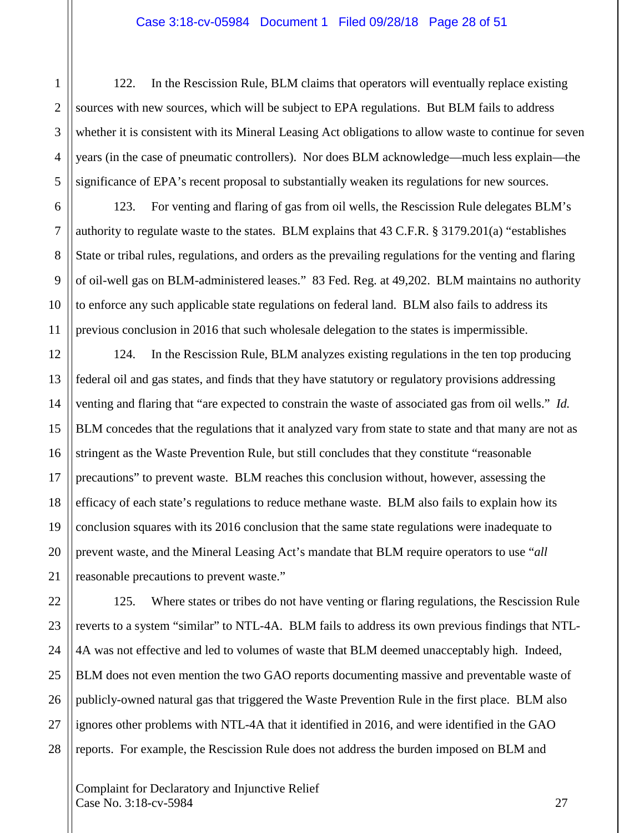#### Case 3:18-cv-05984 Document 1 Filed 09/28/18 Page 28 of 51

122. In the Rescission Rule, BLM claims that operators will eventually replace existing sources with new sources, which will be subject to EPA regulations. But BLM fails to address whether it is consistent with its Mineral Leasing Act obligations to allow waste to continue for seven years (in the case of pneumatic controllers). Nor does BLM acknowledge—much less explain—the significance of EPA's recent proposal to substantially weaken its regulations for new sources.

123. For venting and flaring of gas from oil wells, the Rescission Rule delegates BLM's authority to regulate waste to the states. BLM explains that 43 C.F.R. § 3179.201(a) "establishes State or tribal rules, regulations, and orders as the prevailing regulations for the venting and flaring of oil-well gas on BLM-administered leases." 83 Fed. Reg. at 49,202. BLM maintains no authority to enforce any such applicable state regulations on federal land. BLM also fails to address its previous conclusion in 2016 that such wholesale delegation to the states is impermissible.

124. In the Rescission Rule, BLM analyzes existing regulations in the ten top producing federal oil and gas states, and finds that they have statutory or regulatory provisions addressing venting and flaring that "are expected to constrain the waste of associated gas from oil wells." *Id.*  BLM concedes that the regulations that it analyzed vary from state to state and that many are not as stringent as the Waste Prevention Rule, but still concludes that they constitute "reasonable precautions" to prevent waste. BLM reaches this conclusion without, however, assessing the efficacy of each state's regulations to reduce methane waste. BLM also fails to explain how its conclusion squares with its 2016 conclusion that the same state regulations were inadequate to prevent waste, and the Mineral Leasing Act's mandate that BLM require operators to use "*all* reasonable precautions to prevent waste."

125. Where states or tribes do not have venting or flaring regulations, the Rescission Rule reverts to a system "similar" to NTL-4A. BLM fails to address its own previous findings that NTL-4A was not effective and led to volumes of waste that BLM deemed unacceptably high. Indeed, BLM does not even mention the two GAO reports documenting massive and preventable waste of publicly-owned natural gas that triggered the Waste Prevention Rule in the first place. BLM also ignores other problems with NTL-4A that it identified in 2016, and were identified in the GAO reports. For example, the Rescission Rule does not address the burden imposed on BLM and

Complaint for Declaratory and Injunctive Relief Case No. 3:18-cv-5984 27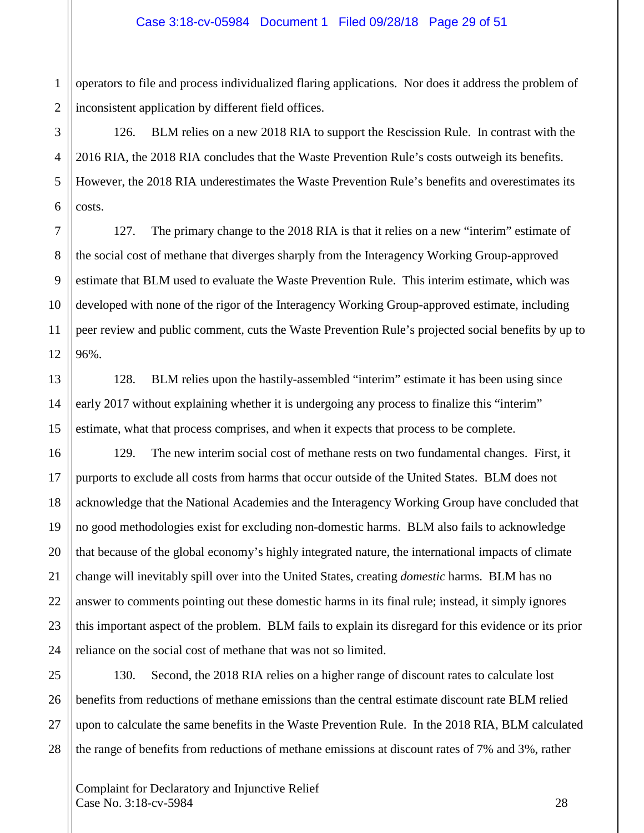1 operators to file and process individualized flaring applications. Nor does it address the problem of inconsistent application by different field offices.

126. BLM relies on a new 2018 RIA to support the Rescission Rule. In contrast with the 2016 RIA, the 2018 RIA concludes that the Waste Prevention Rule's costs outweigh its benefits. However, the 2018 RIA underestimates the Waste Prevention Rule's benefits and overestimates its costs.

127. The primary change to the 2018 RIA is that it relies on a new "interim" estimate of the social cost of methane that diverges sharply from the Interagency Working Group-approved estimate that BLM used to evaluate the Waste Prevention Rule. This interim estimate, which was developed with none of the rigor of the Interagency Working Group-approved estimate, including peer review and public comment, cuts the Waste Prevention Rule's projected social benefits by up to 96%.

128. BLM relies upon the hastily-assembled "interim" estimate it has been using since early 2017 without explaining whether it is undergoing any process to finalize this "interim" estimate, what that process comprises, and when it expects that process to be complete.

129. The new interim social cost of methane rests on two fundamental changes. First, it purports to exclude all costs from harms that occur outside of the United States. BLM does not acknowledge that the National Academies and the Interagency Working Group have concluded that no good methodologies exist for excluding non-domestic harms. BLM also fails to acknowledge that because of the global economy's highly integrated nature, the international impacts of climate change will inevitably spill over into the United States, creating *domestic* harms. BLM has no answer to comments pointing out these domestic harms in its final rule; instead, it simply ignores this important aspect of the problem. BLM fails to explain its disregard for this evidence or its prior reliance on the social cost of methane that was not so limited.

130. Second, the 2018 RIA relies on a higher range of discount rates to calculate lost benefits from reductions of methane emissions than the central estimate discount rate BLM relied upon to calculate the same benefits in the Waste Prevention Rule. In the 2018 RIA, BLM calculated the range of benefits from reductions of methane emissions at discount rates of 7% and 3%, rather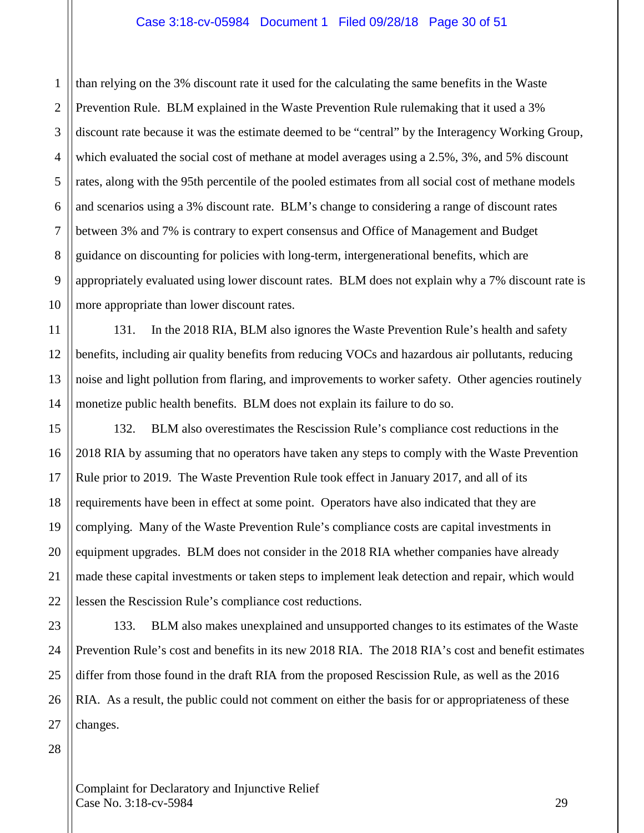#### Case 3:18-cv-05984 Document 1 Filed 09/28/18 Page 30 of 51

1 2 3 4 5 6 7 8 9 10 than relying on the 3% discount rate it used for the calculating the same benefits in the Waste Prevention Rule. BLM explained in the Waste Prevention Rule rulemaking that it used a 3% discount rate because it was the estimate deemed to be "central" by the Interagency Working Group, which evaluated the social cost of methane at model averages using a 2.5%, 3%, and 5% discount rates, along with the 95th percentile of the pooled estimates from all social cost of methane models and scenarios using a 3% discount rate. BLM's change to considering a range of discount rates between 3% and 7% is contrary to expert consensus and Office of Management and Budget guidance on discounting for policies with long-term, intergenerational benefits, which are appropriately evaluated using lower discount rates. BLM does not explain why a 7% discount rate is more appropriate than lower discount rates.

131. In the 2018 RIA, BLM also ignores the Waste Prevention Rule's health and safety benefits, including air quality benefits from reducing VOCs and hazardous air pollutants, reducing noise and light pollution from flaring, and improvements to worker safety. Other agencies routinely monetize public health benefits. BLM does not explain its failure to do so.

132. BLM also overestimates the Rescission Rule's compliance cost reductions in the 2018 RIA by assuming that no operators have taken any steps to comply with the Waste Prevention Rule prior to 2019. The Waste Prevention Rule took effect in January 2017, and all of its requirements have been in effect at some point. Operators have also indicated that they are complying. Many of the Waste Prevention Rule's compliance costs are capital investments in equipment upgrades. BLM does not consider in the 2018 RIA whether companies have already made these capital investments or taken steps to implement leak detection and repair, which would lessen the Rescission Rule's compliance cost reductions.

23 24 25 26 27 133. BLM also makes unexplained and unsupported changes to its estimates of the Waste Prevention Rule's cost and benefits in its new 2018 RIA. The 2018 RIA's cost and benefit estimates differ from those found in the draft RIA from the proposed Rescission Rule, as well as the 2016 RIA. As a result, the public could not comment on either the basis for or appropriateness of these changes.

28

11

12

13

14

15

16

17

18

19

20

21

22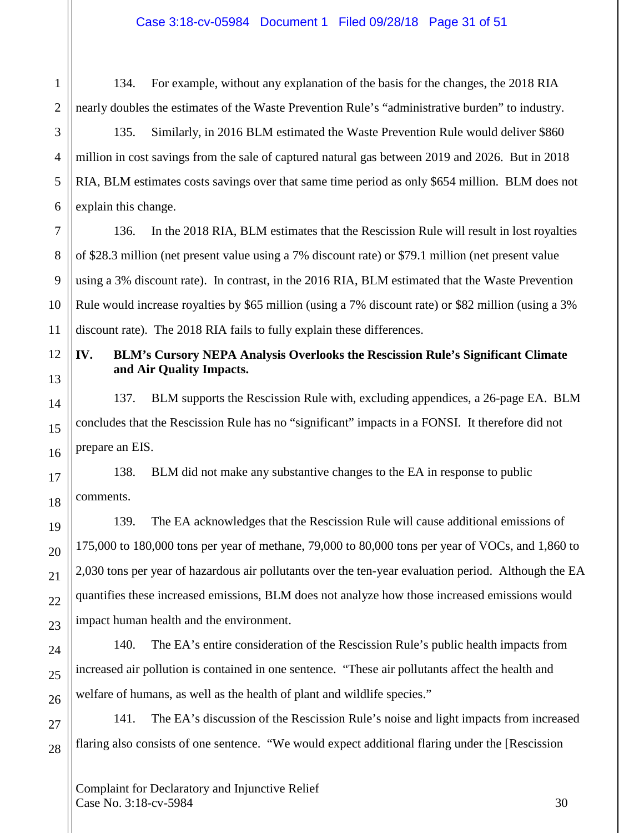134. For example, without any explanation of the basis for the changes, the 2018 RIA nearly doubles the estimates of the Waste Prevention Rule's "administrative burden" to industry.

135. Similarly, in 2016 BLM estimated the Waste Prevention Rule would deliver \$860 million in cost savings from the sale of captured natural gas between 2019 and 2026. But in 2018 RIA, BLM estimates costs savings over that same time period as only \$654 million. BLM does not explain this change.

136. In the 2018 RIA, BLM estimates that the Rescission Rule will result in lost royalties of \$28.3 million (net present value using a 7% discount rate) or \$79.1 million (net present value using a 3% discount rate). In contrast, in the 2016 RIA, BLM estimated that the Waste Prevention Rule would increase royalties by \$65 million (using a 7% discount rate) or \$82 million (using a 3% discount rate). The 2018 RIA fails to fully explain these differences.

# **IV. BLM's Cursory NEPA Analysis Overlooks the Rescission Rule's Significant Climate and Air Quality Impacts.**

137. BLM supports the Rescission Rule with, excluding appendices, a 26-page EA. BLM concludes that the Rescission Rule has no "significant" impacts in a FONSI. It therefore did not prepare an EIS.

138. BLM did not make any substantive changes to the EA in response to public comments.

139. The EA acknowledges that the Rescission Rule will cause additional emissions of 175,000 to 180,000 tons per year of methane, 79,000 to 80,000 tons per year of VOCs, and 1,860 to 2,030 tons per year of hazardous air pollutants over the ten-year evaluation period. Although the EA quantifies these increased emissions, BLM does not analyze how those increased emissions would impact human health and the environment.

140. The EA's entire consideration of the Rescission Rule's public health impacts from increased air pollution is contained in one sentence. "These air pollutants affect the health and welfare of humans, as well as the health of plant and wildlife species."

141. The EA's discussion of the Rescission Rule's noise and light impacts from increased flaring also consists of one sentence. "We would expect additional flaring under the [Rescission

Complaint for Declaratory and Injunctive Relief  $\text{Case No. } 3:18\text{-}ev\text{-}5984$  30

1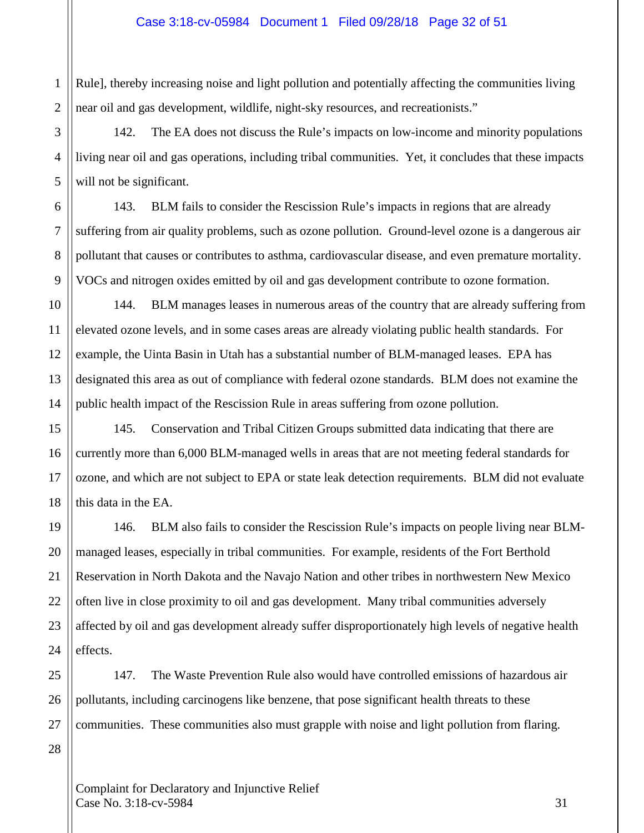1 2 Rule], thereby increasing noise and light pollution and potentially affecting the communities living near oil and gas development, wildlife, night-sky resources, and recreationists."

142. The EA does not discuss the Rule's impacts on low-income and minority populations living near oil and gas operations, including tribal communities. Yet, it concludes that these impacts will not be significant.

143. BLM fails to consider the Rescission Rule's impacts in regions that are already suffering from air quality problems, such as ozone pollution. Ground-level ozone is a dangerous air pollutant that causes or contributes to asthma, cardiovascular disease, and even premature mortality. VOCs and nitrogen oxides emitted by oil and gas development contribute to ozone formation.

144. BLM manages leases in numerous areas of the country that are already suffering from elevated ozone levels, and in some cases areas are already violating public health standards. For example, the Uinta Basin in Utah has a substantial number of BLM-managed leases. EPA has designated this area as out of compliance with federal ozone standards. BLM does not examine the public health impact of the Rescission Rule in areas suffering from ozone pollution.

145. Conservation and Tribal Citizen Groups submitted data indicating that there are currently more than 6,000 BLM-managed wells in areas that are not meeting federal standards for ozone, and which are not subject to EPA or state leak detection requirements. BLM did not evaluate this data in the EA.

146. BLM also fails to consider the Rescission Rule's impacts on people living near BLMmanaged leases, especially in tribal communities. For example, residents of the Fort Berthold Reservation in North Dakota and the Navajo Nation and other tribes in northwestern New Mexico often live in close proximity to oil and gas development. Many tribal communities adversely affected by oil and gas development already suffer disproportionately high levels of negative health effects.

147. The Waste Prevention Rule also would have controlled emissions of hazardous air pollutants, including carcinogens like benzene, that pose significant health threats to these communities. These communities also must grapple with noise and light pollution from flaring.

Complaint for Declaratory and Injunctive Relief  $\text{Case No. } 3:18\text{-}c\text{v}-5984$  31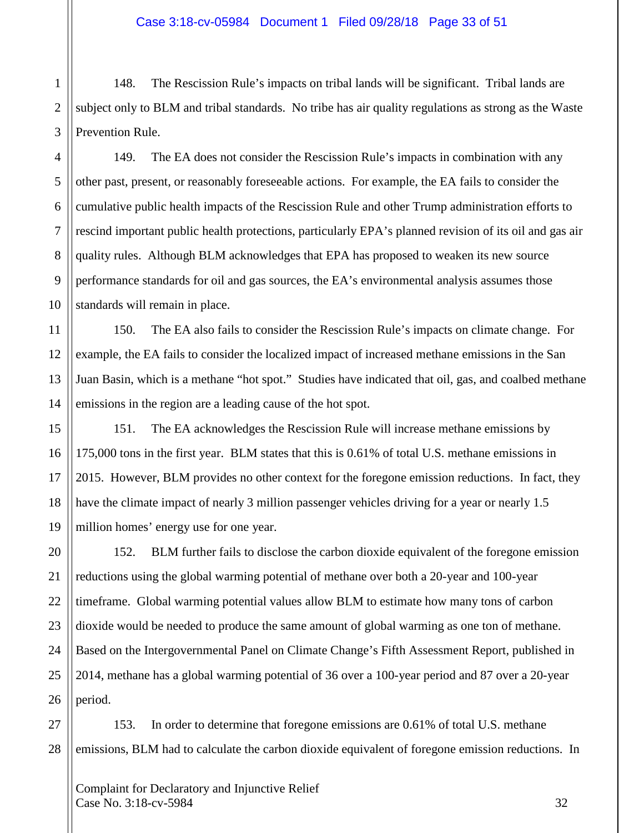1 2 148. The Rescission Rule's impacts on tribal lands will be significant. Tribal lands are subject only to BLM and tribal standards. No tribe has air quality regulations as strong as the Waste Prevention Rule.

149. The EA does not consider the Rescission Rule's impacts in combination with any other past, present, or reasonably foreseeable actions. For example, the EA fails to consider the cumulative public health impacts of the Rescission Rule and other Trump administration efforts to rescind important public health protections, particularly EPA's planned revision of its oil and gas air quality rules. Although BLM acknowledges that EPA has proposed to weaken its new source performance standards for oil and gas sources, the EA's environmental analysis assumes those standards will remain in place.

150. The EA also fails to consider the Rescission Rule's impacts on climate change. For example, the EA fails to consider the localized impact of increased methane emissions in the San Juan Basin, which is a methane "hot spot." Studies have indicated that oil, gas, and coalbed methane emissions in the region are a leading cause of the hot spot.

151. The EA acknowledges the Rescission Rule will increase methane emissions by 175,000 tons in the first year. BLM states that this is 0.61% of total U.S. methane emissions in 2015. However, BLM provides no other context for the foregone emission reductions. In fact, they have the climate impact of nearly 3 million passenger vehicles driving for a year or nearly 1.5 million homes' energy use for one year.

152. BLM further fails to disclose the carbon dioxide equivalent of the foregone emission reductions using the global warming potential of methane over both a 20-year and 100-year timeframe. Global warming potential values allow BLM to estimate how many tons of carbon dioxide would be needed to produce the same amount of global warming as one ton of methane. Based on the Intergovernmental Panel on Climate Change's Fifth Assessment Report, published in 2014, methane has a global warming potential of 36 over a 100-year period and 87 over a 20-year period.

153. In order to determine that foregone emissions are 0.61% of total U.S. methane emissions, BLM had to calculate the carbon dioxide equivalent of foregone emission reductions. In

Complaint for Declaratory and Injunctive Relief  $\text{Case No. } 3:18\text{-}ev\text{-}5984$  32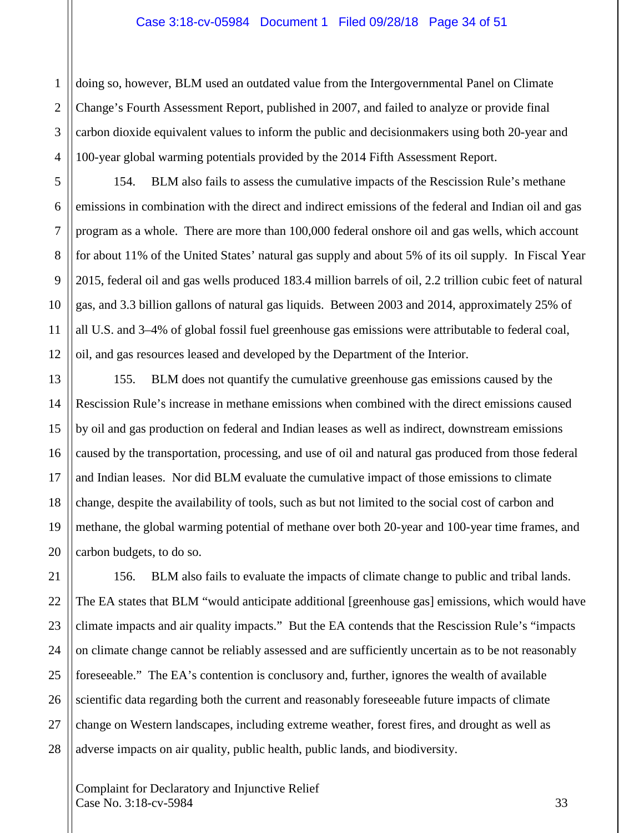#### Case 3:18-cv-05984 Document 1 Filed 09/28/18 Page 34 of 51

doing so, however, BLM used an outdated value from the Intergovernmental Panel on Climate Change's Fourth Assessment Report, published in 2007, and failed to analyze or provide final carbon dioxide equivalent values to inform the public and decisionmakers using both 20-year and 100-year global warming potentials provided by the 2014 Fifth Assessment Report.

154. BLM also fails to assess the cumulative impacts of the Rescission Rule's methane emissions in combination with the direct and indirect emissions of the federal and Indian oil and gas program as a whole. There are more than 100,000 federal onshore oil and gas wells, which account for about 11% of the United States' natural gas supply and about 5% of its oil supply. In Fiscal Year 2015, federal oil and gas wells produced 183.4 million barrels of oil, 2.2 trillion cubic feet of natural gas, and 3.3 billion gallons of natural gas liquids. Between 2003 and 2014, approximately 25% of all U.S. and 3–4% of global fossil fuel greenhouse gas emissions were attributable to federal coal, oil, and gas resources leased and developed by the Department of the Interior.

155. BLM does not quantify the cumulative greenhouse gas emissions caused by the Rescission Rule's increase in methane emissions when combined with the direct emissions caused by oil and gas production on federal and Indian leases as well as indirect, downstream emissions caused by the transportation, processing, and use of oil and natural gas produced from those federal and Indian leases. Nor did BLM evaluate the cumulative impact of those emissions to climate change, despite the availability of tools, such as but not limited to the social cost of carbon and methane, the global warming potential of methane over both 20-year and 100-year time frames, and carbon budgets, to do so.

156. BLM also fails to evaluate the impacts of climate change to public and tribal lands. The EA states that BLM "would anticipate additional [greenhouse gas] emissions, which would have climate impacts and air quality impacts." But the EA contends that the Rescission Rule's "impacts on climate change cannot be reliably assessed and are sufficiently uncertain as to be not reasonably foreseeable." The EA's contention is conclusory and, further, ignores the wealth of available scientific data regarding both the current and reasonably foreseeable future impacts of climate change on Western landscapes, including extreme weather, forest fires, and drought as well as adverse impacts on air quality, public health, public lands, and biodiversity.

Complaint for Declaratory and Injunctive Relief  $\text{Case No. } 3:18\text{-}ev\text{-}5984$  33

1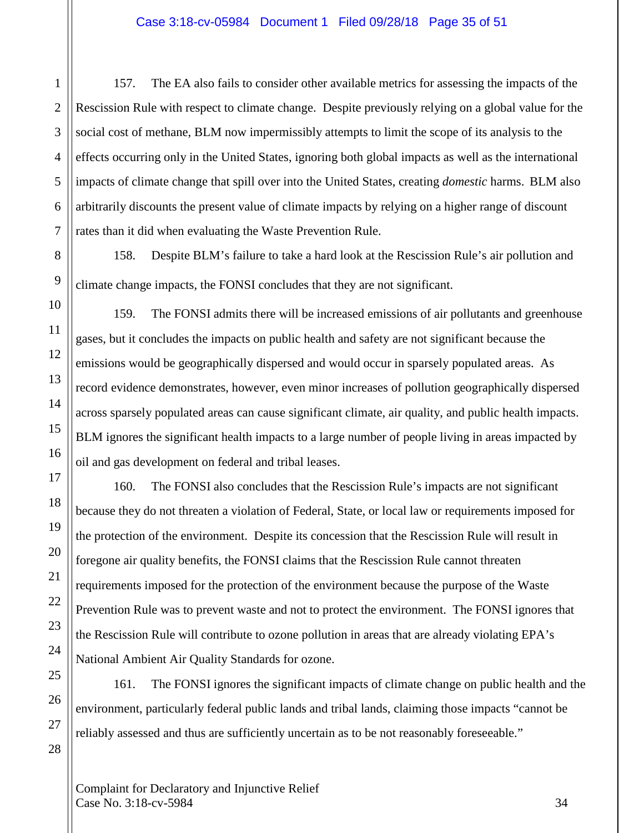157. The EA also fails to consider other available metrics for assessing the impacts of the Rescission Rule with respect to climate change. Despite previously relying on a global value for the social cost of methane, BLM now impermissibly attempts to limit the scope of its analysis to the effects occurring only in the United States, ignoring both global impacts as well as the international impacts of climate change that spill over into the United States, creating *domestic* harms. BLM also arbitrarily discounts the present value of climate impacts by relying on a higher range of discount rates than it did when evaluating the Waste Prevention Rule.

158. Despite BLM's failure to take a hard look at the Rescission Rule's air pollution and climate change impacts, the FONSI concludes that they are not significant.

159. The FONSI admits there will be increased emissions of air pollutants and greenhouse gases, but it concludes the impacts on public health and safety are not significant because the emissions would be geographically dispersed and would occur in sparsely populated areas. As record evidence demonstrates, however, even minor increases of pollution geographically dispersed across sparsely populated areas can cause significant climate, air quality, and public health impacts. BLM ignores the significant health impacts to a large number of people living in areas impacted by oil and gas development on federal and tribal leases.

160. The FONSI also concludes that the Rescission Rule's impacts are not significant because they do not threaten a violation of Federal, State, or local law or requirements imposed for the protection of the environment. Despite its concession that the Rescission Rule will result in foregone air quality benefits, the FONSI claims that the Rescission Rule cannot threaten requirements imposed for the protection of the environment because the purpose of the Waste Prevention Rule was to prevent waste and not to protect the environment. The FONSI ignores that the Rescission Rule will contribute to ozone pollution in areas that are already violating EPA's National Ambient Air Quality Standards for ozone.

161. The FONSI ignores the significant impacts of climate change on public health and the environment, particularly federal public lands and tribal lands, claiming those impacts "cannot be reliably assessed and thus are sufficiently uncertain as to be not reasonably foreseeable."

Complaint for Declaratory and Injunctive Relief  $\text{Case No. } 3:18\text{-}ev\text{-}5984$  34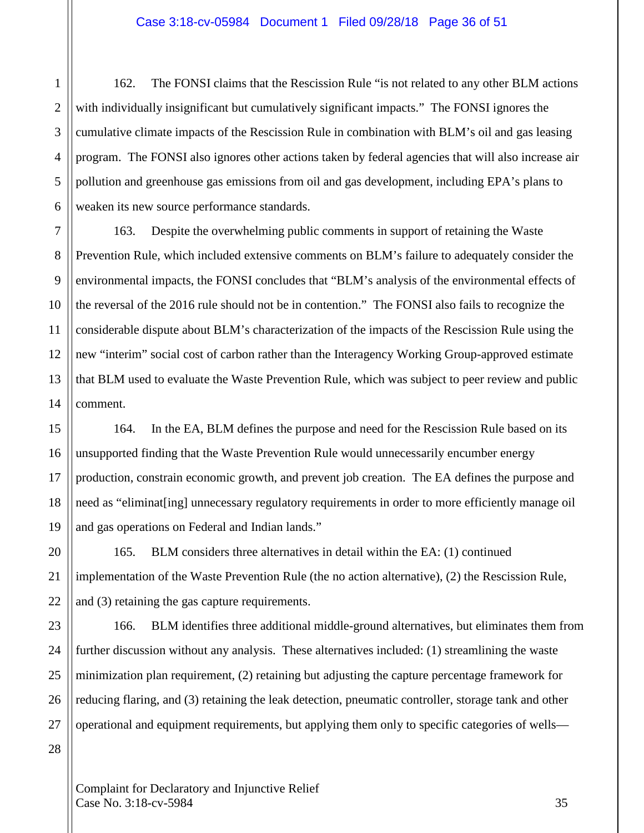162. The FONSI claims that the Rescission Rule "is not related to any other BLM actions with individually insignificant but cumulatively significant impacts." The FONSI ignores the cumulative climate impacts of the Rescission Rule in combination with BLM's oil and gas leasing program. The FONSI also ignores other actions taken by federal agencies that will also increase air pollution and greenhouse gas emissions from oil and gas development, including EPA's plans to weaken its new source performance standards.

163. Despite the overwhelming public comments in support of retaining the Waste Prevention Rule, which included extensive comments on BLM's failure to adequately consider the environmental impacts, the FONSI concludes that "BLM's analysis of the environmental effects of the reversal of the 2016 rule should not be in contention." The FONSI also fails to recognize the considerable dispute about BLM's characterization of the impacts of the Rescission Rule using the new "interim" social cost of carbon rather than the Interagency Working Group-approved estimate that BLM used to evaluate the Waste Prevention Rule, which was subject to peer review and public comment.

164. In the EA, BLM defines the purpose and need for the Rescission Rule based on its unsupported finding that the Waste Prevention Rule would unnecessarily encumber energy production, constrain economic growth, and prevent job creation. The EA defines the purpose and need as "eliminat[ing] unnecessary regulatory requirements in order to more efficiently manage oil and gas operations on Federal and Indian lands."

165. BLM considers three alternatives in detail within the EA: (1) continued implementation of the Waste Prevention Rule (the no action alternative), (2) the Rescission Rule, and (3) retaining the gas capture requirements.

166. BLM identifies three additional middle-ground alternatives, but eliminates them from further discussion without any analysis. These alternatives included: (1) streamlining the waste minimization plan requirement, (2) retaining but adjusting the capture percentage framework for reducing flaring, and (3) retaining the leak detection, pneumatic controller, storage tank and other operational and equipment requirements, but applying them only to specific categories of wells—

Complaint for Declaratory and Injunctive Relief  $Case No. 3:18-cv-5984$  35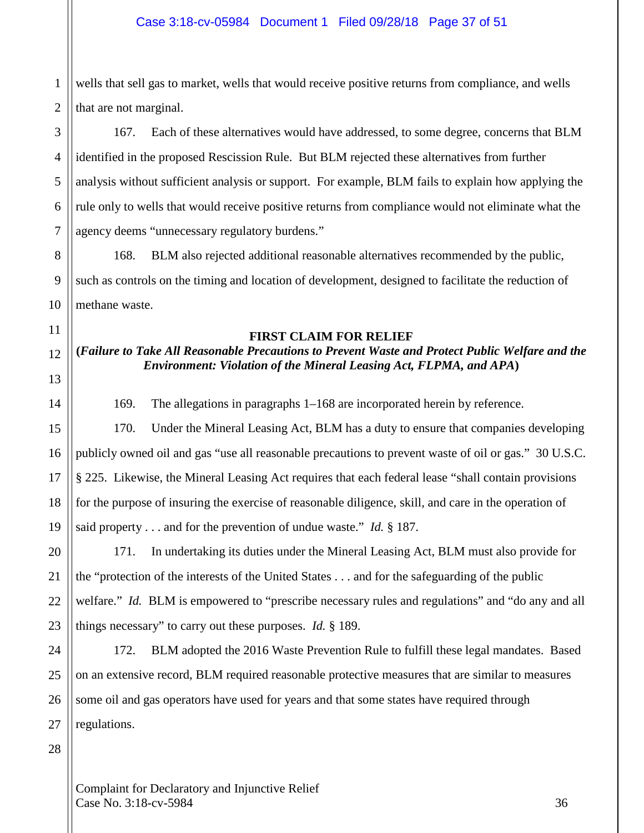1 2 wells that sell gas to market, wells that would receive positive returns from compliance, and wells that are not marginal.

3 4 5 6 7 167. Each of these alternatives would have addressed, to some degree, concerns that BLM identified in the proposed Rescission Rule. But BLM rejected these alternatives from further analysis without sufficient analysis or support. For example, BLM fails to explain how applying the rule only to wells that would receive positive returns from compliance would not eliminate what the agency deems "unnecessary regulatory burdens."

168. BLM also rejected additional reasonable alternatives recommended by the public, such as controls on the timing and location of development, designed to facilitate the reduction of methane waste.

# **FIRST CLAIM FOR RELIEF**

# **(***Failure to Take All Reasonable Precautions to Prevent Waste and Protect Public Welfare and the Environment: Violation of the Mineral Leasing Act, FLPMA, and APA***)**

169. The allegations in paragraphs 1–168 are incorporated herein by reference.

170. Under the Mineral Leasing Act, BLM has a duty to ensure that companies developing publicly owned oil and gas "use all reasonable precautions to prevent waste of oil or gas." 30 U.S.C. § 225. Likewise, the Mineral Leasing Act requires that each federal lease "shall contain provisions for the purpose of insuring the exercise of reasonable diligence, skill, and care in the operation of said property . . . and for the prevention of undue waste." *Id.* § 187.

171. In undertaking its duties under the Mineral Leasing Act, BLM must also provide for the "protection of the interests of the United States . . . and for the safeguarding of the public welfare." *Id.* BLM is empowered to "prescribe necessary rules and regulations" and "do any and all things necessary" to carry out these purposes. *Id.* § 189.

172. BLM adopted the 2016 Waste Prevention Rule to fulfill these legal mandates. Based on an extensive record, BLM required reasonable protective measures that are similar to measures some oil and gas operators have used for years and that some states have required through regulations.

28

27

8

9

10

11

12

13

14

15

16

17

18

19

20

21

22

23

24

25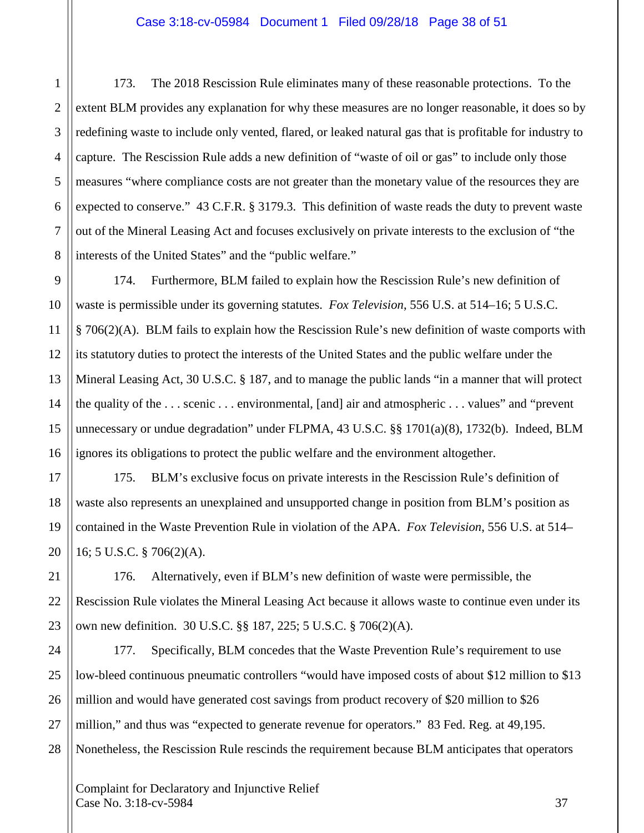173. The 2018 Rescission Rule eliminates many of these reasonable protections. To the extent BLM provides any explanation for why these measures are no longer reasonable, it does so by redefining waste to include only vented, flared, or leaked natural gas that is profitable for industry to capture. The Rescission Rule adds a new definition of "waste of oil or gas" to include only those measures "where compliance costs are not greater than the monetary value of the resources they are expected to conserve." 43 C.F.R. § 3179.3. This definition of waste reads the duty to prevent waste out of the Mineral Leasing Act and focuses exclusively on private interests to the exclusion of "the interests of the United States" and the "public welfare."

174. Furthermore, BLM failed to explain how the Rescission Rule's new definition of waste is permissible under its governing statutes. *Fox Television*, 556 U.S. at 514–16; 5 U.S.C. § 706(2)(A). BLM fails to explain how the Rescission Rule's new definition of waste comports with its statutory duties to protect the interests of the United States and the public welfare under the Mineral Leasing Act, 30 U.S.C. § 187, and to manage the public lands "in a manner that will protect the quality of the . . . scenic . . . environmental, [and] air and atmospheric . . . values" and "prevent unnecessary or undue degradation" under FLPMA, 43 U.S.C. §§ 1701(a)(8), 1732(b). Indeed, BLM ignores its obligations to protect the public welfare and the environment altogether.

175. BLM's exclusive focus on private interests in the Rescission Rule's definition of waste also represents an unexplained and unsupported change in position from BLM's position as contained in the Waste Prevention Rule in violation of the APA. *Fox Television*, 556 U.S. at 514– 16; 5 U.S.C. § 706(2)(A).

176. Alternatively, even if BLM's new definition of waste were permissible, the Rescission Rule violates the Mineral Leasing Act because it allows waste to continue even under its own new definition. 30 U.S.C. §§ 187, 225; 5 U.S.C. § 706(2)(A).

177. Specifically, BLM concedes that the Waste Prevention Rule's requirement to use low-bleed continuous pneumatic controllers "would have imposed costs of about \$12 million to \$13 million and would have generated cost savings from product recovery of \$20 million to \$26 million," and thus was "expected to generate revenue for operators." 83 Fed. Reg. at 49,195. Nonetheless, the Rescission Rule rescinds the requirement because BLM anticipates that operators

Complaint for Declaratory and Injunctive Relief  $\text{Case No. } 3:18\text{-}ev\text{-}5984$  37

1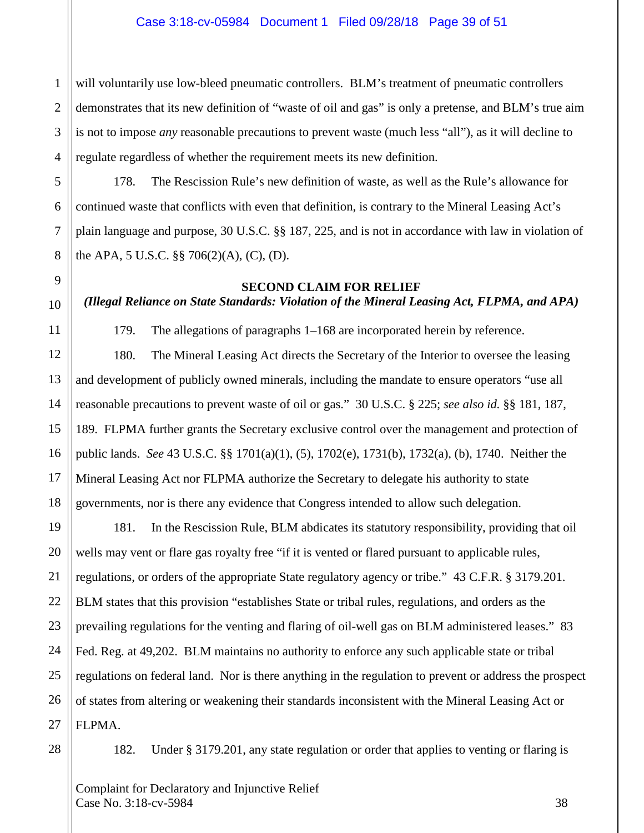1 2 3 4 will voluntarily use low-bleed pneumatic controllers. BLM's treatment of pneumatic controllers demonstrates that its new definition of "waste of oil and gas" is only a pretense, and BLM's true aim is not to impose *any* reasonable precautions to prevent waste (much less "all"), as it will decline to regulate regardless of whether the requirement meets its new definition.

178. The Rescission Rule's new definition of waste, as well as the Rule's allowance for continued waste that conflicts with even that definition, is contrary to the Mineral Leasing Act's plain language and purpose, 30 U.S.C. §§ 187, 225, and is not in accordance with law in violation of the APA, 5 U.S.C. §§ 706(2)(A), (C), (D).

### **SECOND CLAIM FOR RELIEF**

# *(Illegal Reliance on State Standards: Violation of the Mineral Leasing Act, FLPMA, and APA)*

179. The allegations of paragraphs 1–168 are incorporated herein by reference.

180. The Mineral Leasing Act directs the Secretary of the Interior to oversee the leasing and development of publicly owned minerals, including the mandate to ensure operators "use all reasonable precautions to prevent waste of oil or gas." 30 U.S.C. § 225; *see also id.* §§ 181, 187, 189. FLPMA further grants the Secretary exclusive control over the management and protection of public lands. *See* 43 U.S.C. §§ 1701(a)(1), (5), 1702(e), 1731(b), 1732(a), (b), 1740. Neither the Mineral Leasing Act nor FLPMA authorize the Secretary to delegate his authority to state governments, nor is there any evidence that Congress intended to allow such delegation.

181. In the Rescission Rule, BLM abdicates its statutory responsibility, providing that oil wells may vent or flare gas royalty free "if it is vented or flared pursuant to applicable rules, regulations, or orders of the appropriate State regulatory agency or tribe." 43 C.F.R. § 3179.201. BLM states that this provision "establishes State or tribal rules, regulations, and orders as the prevailing regulations for the venting and flaring of oil-well gas on BLM administered leases." 83 Fed. Reg. at 49,202. BLM maintains no authority to enforce any such applicable state or tribal regulations on federal land. Nor is there anything in the regulation to prevent or address the prospect of states from altering or weakening their standards inconsistent with the Mineral Leasing Act or FLPMA.

28

5

6

7

8

9

10

11

12

13

14

15

16

17

18

19

20

21

22

23

24

25

26

27

182. Under § 3179.201, any state regulation or order that applies to venting or flaring is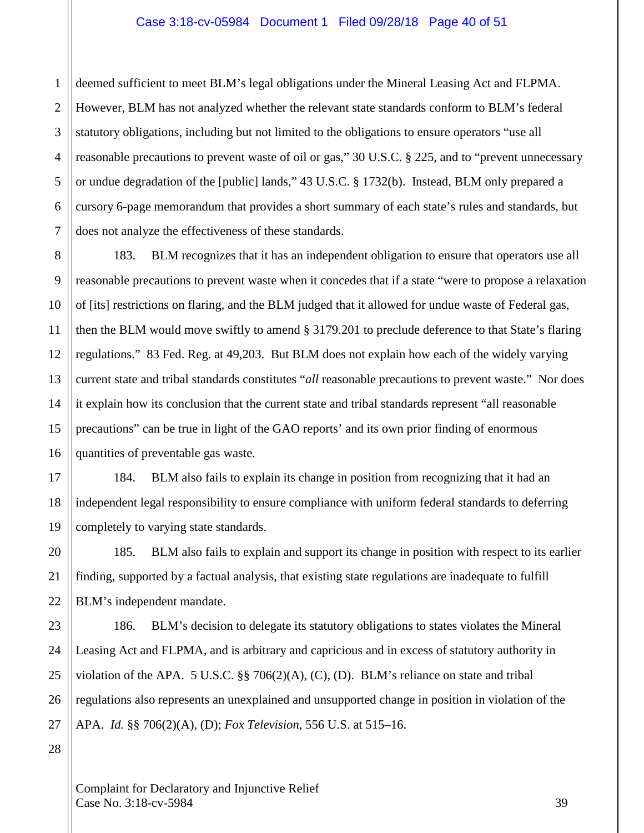#### Case 3:18-cv-05984 Document 1 Filed 09/28/18 Page 40 of 51

1 2 3 4 5 6 7 deemed sufficient to meet BLM's legal obligations under the Mineral Leasing Act and FLPMA. However, BLM has not analyzed whether the relevant state standards conform to BLM's federal statutory obligations, including but not limited to the obligations to ensure operators "use all reasonable precautions to prevent waste of oil or gas," 30 U.S.C. § 225, and to "prevent unnecessary or undue degradation of the [public] lands," 43 U.S.C. § 1732(b). Instead, BLM only prepared a cursory 6-page memorandum that provides a short summary of each state's rules and standards, but does not analyze the effectiveness of these standards.

12 13 14 16 183. BLM recognizes that it has an independent obligation to ensure that operators use all reasonable precautions to prevent waste when it concedes that if a state "were to propose a relaxation of [its] restrictions on flaring, and the BLM judged that it allowed for undue waste of Federal gas, then the BLM would move swiftly to amend § 3179.201 to preclude deference to that State's flaring regulations." 83 Fed. Reg. at 49,203. But BLM does not explain how each of the widely varying current state and tribal standards constitutes "*all* reasonable precautions to prevent waste." Nor does it explain how its conclusion that the current state and tribal standards represent "all reasonable precautions" can be true in light of the GAO reports' and its own prior finding of enormous quantities of preventable gas waste.

184. BLM also fails to explain its change in position from recognizing that it had an independent legal responsibility to ensure compliance with uniform federal standards to deferring completely to varying state standards.

185. BLM also fails to explain and support its change in position with respect to its earlier finding, supported by a factual analysis, that existing state regulations are inadequate to fulfill BLM's independent mandate.

186. BLM's decision to delegate its statutory obligations to states violates the Mineral Leasing Act and FLPMA, and is arbitrary and capricious and in excess of statutory authority in violation of the APA. 5 U.S.C. §§ 706(2)(A), (C), (D). BLM's reliance on state and tribal regulations also represents an unexplained and unsupported change in position in violation of the APA. *Id.* §§ 706(2)(A), (D); *Fox Television*, 556 U.S. at 515–16.

28

8

9

10

11

15

17

18

19

20

21

22

23

24

25

26

27

Complaint for Declaratory and Injunctive Relief  $\text{Case No. } 3:18\text{-}ev\text{-}5984$  39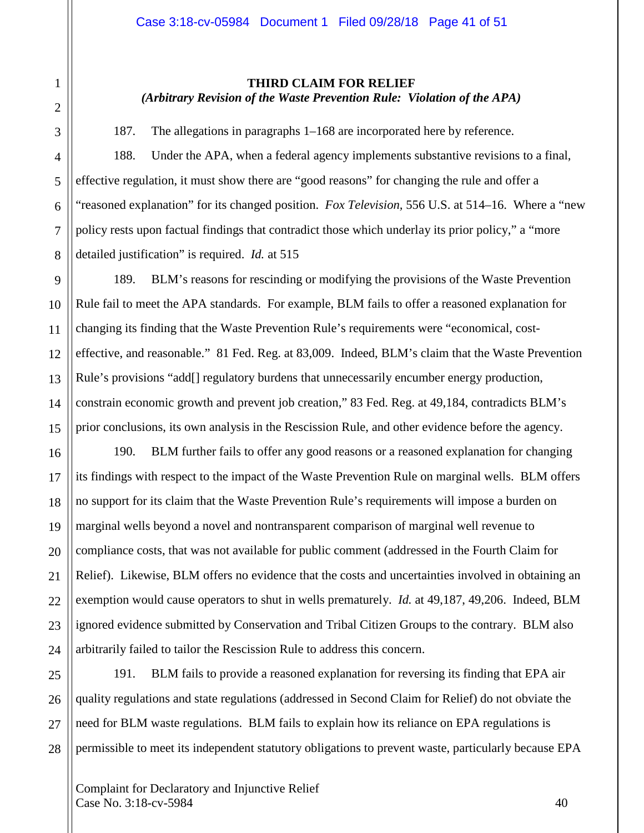#### **THIRD CLAIM FOR RELIEF** *(Arbitrary Revision of the Waste Prevention Rule: Violation of the APA)*

187. The allegations in paragraphs 1–168 are incorporated here by reference.

188. Under the APA, when a federal agency implements substantive revisions to a final, effective regulation, it must show there are "good reasons" for changing the rule and offer a "reasoned explanation" for its changed position. *Fox Television,* 556 U.S. at 514–16. Where a "new policy rests upon factual findings that contradict those which underlay its prior policy," a "more detailed justification" is required. *Id.* at 515

189. BLM's reasons for rescinding or modifying the provisions of the Waste Prevention Rule fail to meet the APA standards. For example, BLM fails to offer a reasoned explanation for changing its finding that the Waste Prevention Rule's requirements were "economical, costeffective, and reasonable." 81 Fed. Reg. at 83,009. Indeed, BLM's claim that the Waste Prevention Rule's provisions "add<sup>[]</sup> regulatory burdens that unnecessarily encumber energy production, constrain economic growth and prevent job creation," 83 Fed. Reg. at 49,184, contradicts BLM's prior conclusions, its own analysis in the Rescission Rule, and other evidence before the agency.

190. BLM further fails to offer any good reasons or a reasoned explanation for changing its findings with respect to the impact of the Waste Prevention Rule on marginal wells. BLM offers no support for its claim that the Waste Prevention Rule's requirements will impose a burden on marginal wells beyond a novel and nontransparent comparison of marginal well revenue to compliance costs, that was not available for public comment (addressed in the Fourth Claim for Relief). Likewise, BLM offers no evidence that the costs and uncertainties involved in obtaining an exemption would cause operators to shut in wells prematurely. *Id.* at 49,187, 49,206. Indeed, BLM ignored evidence submitted by Conservation and Tribal Citizen Groups to the contrary. BLM also arbitrarily failed to tailor the Rescission Rule to address this concern.

191. BLM fails to provide a reasoned explanation for reversing its finding that EPA air quality regulations and state regulations (addressed in Second Claim for Relief) do not obviate the need for BLM waste regulations. BLM fails to explain how its reliance on EPA regulations is permissible to meet its independent statutory obligations to prevent waste, particularly because EPA

Complaint for Declaratory and Injunctive Relief  $\text{Case No. } 3:18\text{-}c\text{v}-5984$  40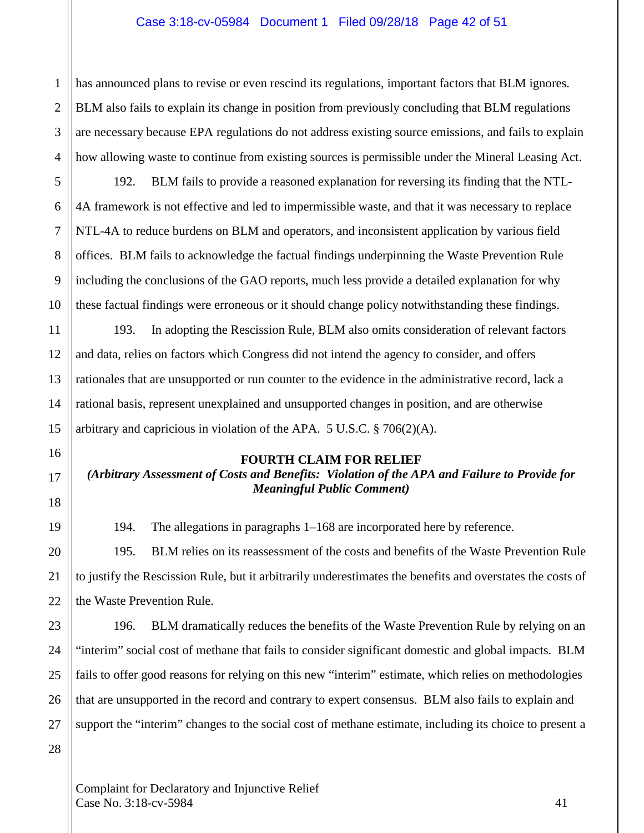## Case 3:18-cv-05984 Document 1 Filed 09/28/18 Page 42 of 51

has announced plans to revise or even rescind its regulations, important factors that BLM ignores. BLM also fails to explain its change in position from previously concluding that BLM regulations are necessary because EPA regulations do not address existing source emissions, and fails to explain how allowing waste to continue from existing sources is permissible under the Mineral Leasing Act.

192. BLM fails to provide a reasoned explanation for reversing its finding that the NTL-4A framework is not effective and led to impermissible waste, and that it was necessary to replace NTL-4A to reduce burdens on BLM and operators, and inconsistent application by various field offices. BLM fails to acknowledge the factual findings underpinning the Waste Prevention Rule including the conclusions of the GAO reports, much less provide a detailed explanation for why these factual findings were erroneous or it should change policy notwithstanding these findings.

193. In adopting the Rescission Rule, BLM also omits consideration of relevant factors and data, relies on factors which Congress did not intend the agency to consider, and offers rationales that are unsupported or run counter to the evidence in the administrative record, lack a rational basis, represent unexplained and unsupported changes in position, and are otherwise arbitrary and capricious in violation of the APA. 5 U.S.C. § 706(2)(A).

#### **FOURTH CLAIM FOR RELIEF**

# *(Arbitrary Assessment of Costs and Benefits: Violation of the APA and Failure to Provide for Meaningful Public Comment)*

194. The allegations in paragraphs 1–168 are incorporated here by reference.

195. BLM relies on its reassessment of the costs and benefits of the Waste Prevention Rule to justify the Rescission Rule, but it arbitrarily underestimates the benefits and overstates the costs of the Waste Prevention Rule.

196. BLM dramatically reduces the benefits of the Waste Prevention Rule by relying on an "interim" social cost of methane that fails to consider significant domestic and global impacts. BLM fails to offer good reasons for relying on this new "interim" estimate, which relies on methodologies that are unsupported in the record and contrary to expert consensus. BLM also fails to explain and support the "interim" changes to the social cost of methane estimate, including its choice to present a

Complaint for Declaratory and Injunctive Relief  $\text{Case No. } 3:18\text{-}c\text{v}-5984$  41

1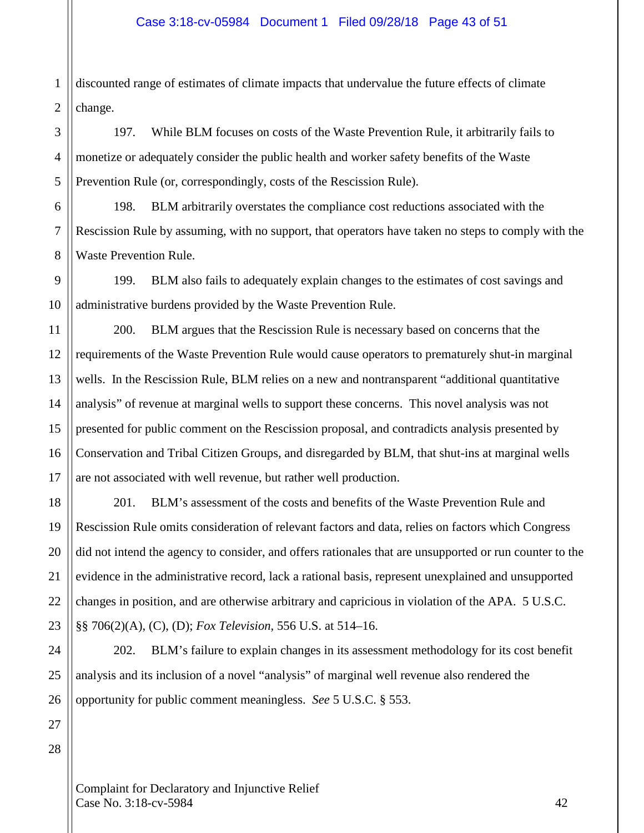1 2 discounted range of estimates of climate impacts that undervalue the future effects of climate change.

197. While BLM focuses on costs of the Waste Prevention Rule, it arbitrarily fails to monetize or adequately consider the public health and worker safety benefits of the Waste Prevention Rule (or, correspondingly, costs of the Rescission Rule).

6 7 8 198. BLM arbitrarily overstates the compliance cost reductions associated with the Rescission Rule by assuming, with no support, that operators have taken no steps to comply with the Waste Prevention Rule.

199. BLM also fails to adequately explain changes to the estimates of cost savings and administrative burdens provided by the Waste Prevention Rule.

200. BLM argues that the Rescission Rule is necessary based on concerns that the requirements of the Waste Prevention Rule would cause operators to prematurely shut-in marginal wells. In the Rescission Rule, BLM relies on a new and nontransparent "additional quantitative analysis" of revenue at marginal wells to support these concerns. This novel analysis was not presented for public comment on the Rescission proposal, and contradicts analysis presented by Conservation and Tribal Citizen Groups, and disregarded by BLM, that shut-ins at marginal wells are not associated with well revenue, but rather well production.

201. BLM's assessment of the costs and benefits of the Waste Prevention Rule and Rescission Rule omits consideration of relevant factors and data, relies on factors which Congress did not intend the agency to consider, and offers rationales that are unsupported or run counter to the evidence in the administrative record, lack a rational basis, represent unexplained and unsupported changes in position, and are otherwise arbitrary and capricious in violation of the APA. 5 U.S.C. §§ 706(2)(A), (C), (D); *Fox Television,* 556 U.S. at 514–16.

202. BLM's failure to explain changes in its assessment methodology for its cost benefit analysis and its inclusion of a novel "analysis" of marginal well revenue also rendered the opportunity for public comment meaningless. *See* 5 U.S.C. § 553.

3

4

5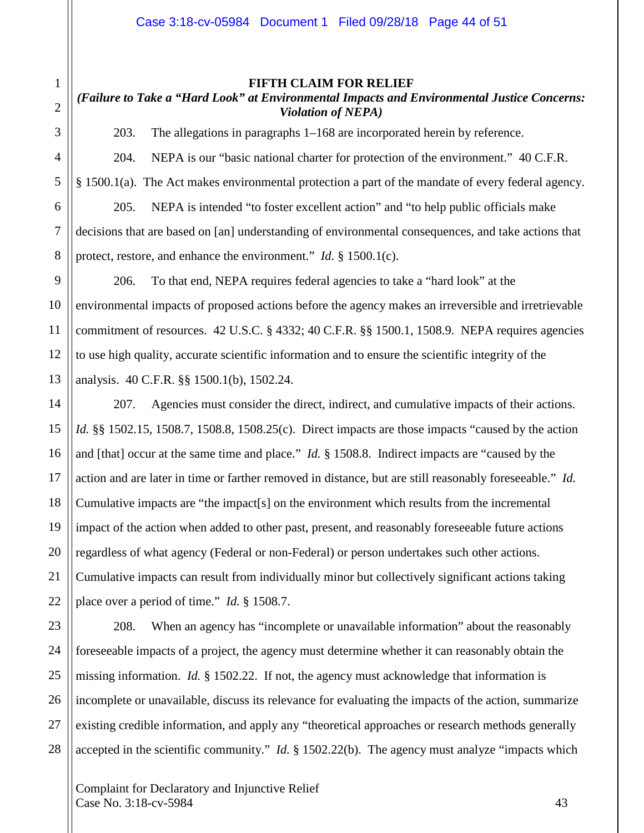#### **FIFTH CLAIM FOR RELIEF**

# *(Failure to Take a "Hard Look" at Environmental Impacts and Environmental Justice Concerns: Violation of NEPA)*

203. The allegations in paragraphs 1–168 are incorporated herein by reference.

204. NEPA is our "basic national charter for protection of the environment." 40 C.F.R. § 1500.1(a). The Act makes environmental protection a part of the mandate of every federal agency. 205. NEPA is intended "to foster excellent action" and "to help public officials make decisions that are based on [an] understanding of environmental consequences, and take actions that protect, restore, and enhance the environment." *Id.* § 1500.1(c).

206. To that end, NEPA requires federal agencies to take a "hard look" at the environmental impacts of proposed actions before the agency makes an irreversible and irretrievable commitment of resources. 42 U.S.C. § 4332; 40 C.F.R. §§ 1500.1, 1508.9. NEPA requires agencies to use high quality, accurate scientific information and to ensure the scientific integrity of the analysis. 40 C.F.R. §§ 1500.1(b), 1502.24.

207. Agencies must consider the direct, indirect, and cumulative impacts of their actions. *Id.* §§ 1502.15, 1508.7, 1508.8, 1508.25(c). Direct impacts are those impacts "caused by the action and [that] occur at the same time and place." *Id.* § 1508.8. Indirect impacts are "caused by the action and are later in time or farther removed in distance, but are still reasonably foreseeable." *Id.*  Cumulative impacts are "the impact[s] on the environment which results from the incremental impact of the action when added to other past, present, and reasonably foreseeable future actions regardless of what agency (Federal or non-Federal) or person undertakes such other actions. Cumulative impacts can result from individually minor but collectively significant actions taking place over a period of time." *Id.* § 1508.7.

208. When an agency has "incomplete or unavailable information" about the reasonably foreseeable impacts of a project, the agency must determine whether it can reasonably obtain the missing information. *Id.* § 1502.22. If not, the agency must acknowledge that information is incomplete or unavailable, discuss its relevance for evaluating the impacts of the action, summarize existing credible information, and apply any "theoretical approaches or research methods generally accepted in the scientific community." *Id.* § 1502.22(b). The agency must analyze "impacts which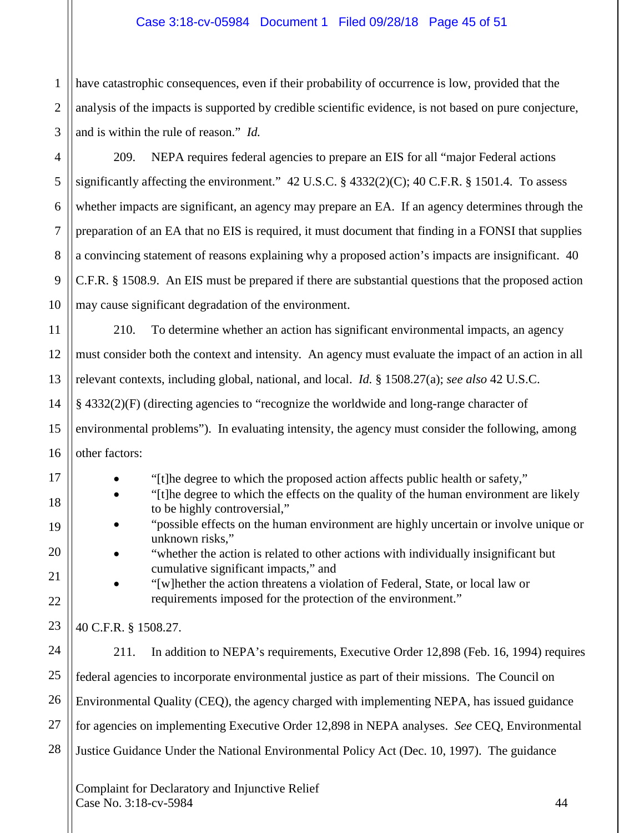# Case 3:18-cv-05984 Document 1 Filed 09/28/18 Page 45 of 51

1 2 3 have catastrophic consequences, even if their probability of occurrence is low, provided that the analysis of the impacts is supported by credible scientific evidence, is not based on pure conjecture, and is within the rule of reason." *Id.*

4 8 9 10 209. NEPA requires federal agencies to prepare an EIS for all "major Federal actions significantly affecting the environment." 42 U.S.C. § 4332(2)(C); 40 C.F.R. § 1501.4. To assess whether impacts are significant, an agency may prepare an EA. If an agency determines through the preparation of an EA that no EIS is required, it must document that finding in a FONSI that supplies a convincing statement of reasons explaining why a proposed action's impacts are insignificant. 40 C.F.R. § 1508.9. An EIS must be prepared if there are substantial questions that the proposed action may cause significant degradation of the environment.

11 12 13 14 15 16 210. To determine whether an action has significant environmental impacts, an agency must consider both the context and intensity. An agency must evaluate the impact of an action in all relevant contexts, including global, national, and local. *Id.* § 1508.27(a); *see also* 42 U.S.C. § 4332(2)(F) (directing agencies to "recognize the worldwide and long-range character of environmental problems"). In evaluating intensity, the agency must consider the following, among other factors:

• "[t]he degree to which the proposed action affects public health or safety," • "[t]he degree to which the effects on the quality of the human environment are likely to be highly controversial,"

- "possible effects on the human environment are highly uncertain or involve unique or unknown risks,"
- "whether the action is related to other actions with individually insignificant but cumulative significant impacts," and
- "[w]hether the action threatens a violation of Federal, State, or local law or requirements imposed for the protection of the environment."

40 C.F.R. § 1508.27.

5

6

7

17

18

19

20

21

22

23

24 25 26 27 28 211. In addition to NEPA's requirements, Executive Order 12,898 (Feb. 16, 1994) requires federal agencies to incorporate environmental justice as part of their missions. The Council on Environmental Quality (CEQ), the agency charged with implementing NEPA, has issued guidance for agencies on implementing Executive Order 12,898 in NEPA analyses. *See* CEQ, Environmental Justice Guidance Under the National Environmental Policy Act (Dec. 10, 1997). The guidance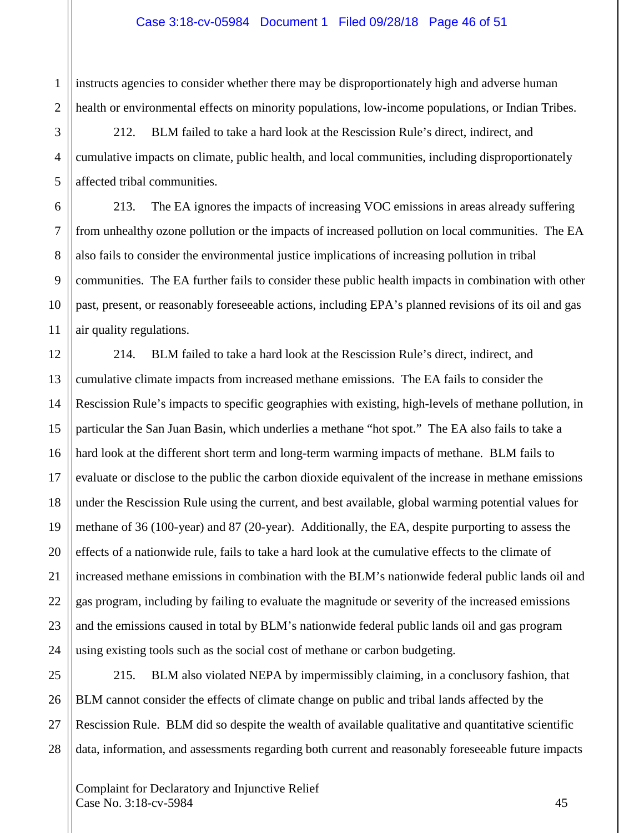2 instructs agencies to consider whether there may be disproportionately high and adverse human health or environmental effects on minority populations, low-income populations, or Indian Tribes.

212. BLM failed to take a hard look at the Rescission Rule's direct, indirect, and cumulative impacts on climate, public health, and local communities, including disproportionately affected tribal communities.

213. The EA ignores the impacts of increasing VOC emissions in areas already suffering from unhealthy ozone pollution or the impacts of increased pollution on local communities. The EA also fails to consider the environmental justice implications of increasing pollution in tribal communities. The EA further fails to consider these public health impacts in combination with other past, present, or reasonably foreseeable actions, including EPA's planned revisions of its oil and gas air quality regulations.

12 13 14 15 16 17 18 19 20 21 22 214. BLM failed to take a hard look at the Rescission Rule's direct, indirect, and cumulative climate impacts from increased methane emissions. The EA fails to consider the Rescission Rule's impacts to specific geographies with existing, high-levels of methane pollution, in particular the San Juan Basin, which underlies a methane "hot spot." The EA also fails to take a hard look at the different short term and long-term warming impacts of methane. BLM fails to evaluate or disclose to the public the carbon dioxide equivalent of the increase in methane emissions under the Rescission Rule using the current, and best available, global warming potential values for methane of 36 (100-year) and 87 (20-year). Additionally, the EA, despite purporting to assess the effects of a nationwide rule, fails to take a hard look at the cumulative effects to the climate of increased methane emissions in combination with the BLM's nationwide federal public lands oil and gas program, including by failing to evaluate the magnitude or severity of the increased emissions and the emissions caused in total by BLM's nationwide federal public lands oil and gas program using existing tools such as the social cost of methane or carbon budgeting.

28

1

3

4

5

6

7

8

9

10

11

215. BLM also violated NEPA by impermissibly claiming, in a conclusory fashion, that BLM cannot consider the effects of climate change on public and tribal lands affected by the Rescission Rule. BLM did so despite the wealth of available qualitative and quantitative scientific data, information, and assessments regarding both current and reasonably foreseeable future impacts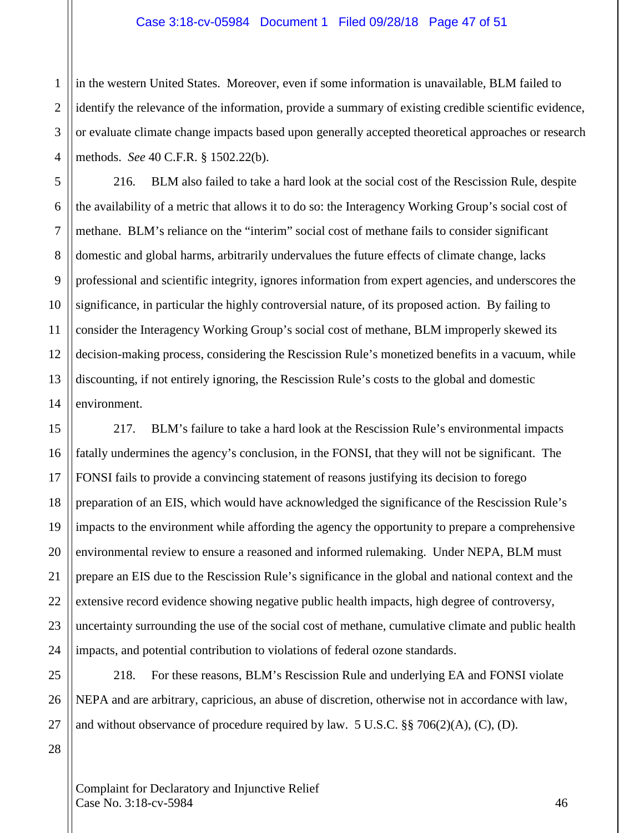#### Case 3:18-cv-05984 Document 1 Filed 09/28/18 Page 47 of 51

in the western United States. Moreover, even if some information is unavailable, BLM failed to identify the relevance of the information, provide a summary of existing credible scientific evidence, or evaluate climate change impacts based upon generally accepted theoretical approaches or research methods. *See* 40 C.F.R. § 1502.22(b).

12 14 216. BLM also failed to take a hard look at the social cost of the Rescission Rule, despite the availability of a metric that allows it to do so: the Interagency Working Group's social cost of methane. BLM's reliance on the "interim" social cost of methane fails to consider significant domestic and global harms, arbitrarily undervalues the future effects of climate change, lacks professional and scientific integrity, ignores information from expert agencies, and underscores the significance, in particular the highly controversial nature, of its proposed action. By failing to consider the Interagency Working Group's social cost of methane, BLM improperly skewed its decision-making process, considering the Rescission Rule's monetized benefits in a vacuum, while discounting, if not entirely ignoring, the Rescission Rule's costs to the global and domestic environment.

217. BLM's failure to take a hard look at the Rescission Rule's environmental impacts fatally undermines the agency's conclusion, in the FONSI, that they will not be significant. The FONSI fails to provide a convincing statement of reasons justifying its decision to forego preparation of an EIS, which would have acknowledged the significance of the Rescission Rule's impacts to the environment while affording the agency the opportunity to prepare a comprehensive environmental review to ensure a reasoned and informed rulemaking. Under NEPA, BLM must prepare an EIS due to the Rescission Rule's significance in the global and national context and the extensive record evidence showing negative public health impacts, high degree of controversy, uncertainty surrounding the use of the social cost of methane, cumulative climate and public health impacts, and potential contribution to violations of federal ozone standards.

25 26 27 218. For these reasons, BLM's Rescission Rule and underlying EA and FONSI violate NEPA and are arbitrary, capricious, an abuse of discretion, otherwise not in accordance with law, and without observance of procedure required by law.  $5 \text{ U.S.C.}$  §§  $706(2)(\text{A})$ , (C), (D).

28

1

2

3

4

5

6

7

8

9

10

11

13

15

16

17

18

19

20

21

22

23

24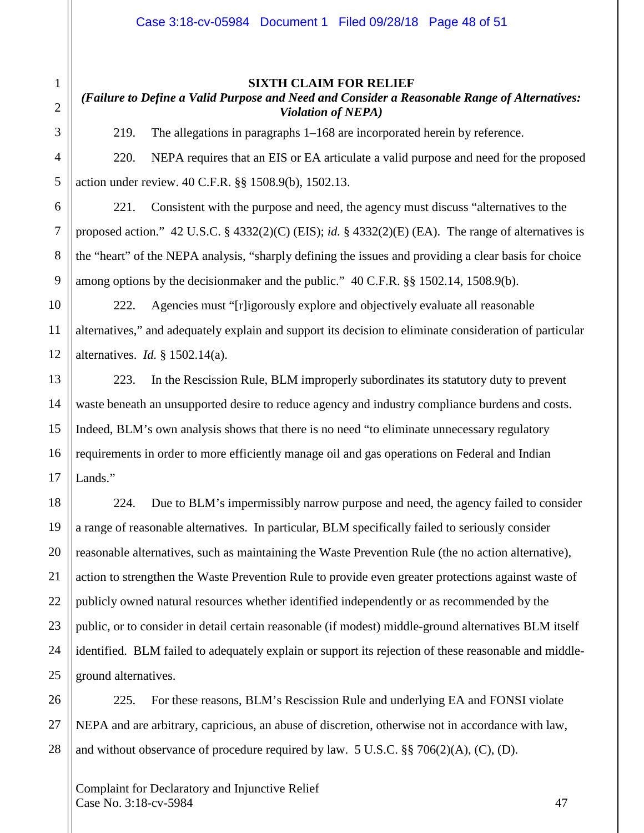# *(Failure to Define a Valid Purpose and Need and Consider a Reasonable Range of Alternatives: Violation of NEPA)*

219. The allegations in paragraphs 1–168 are incorporated herein by reference.

220. NEPA requires that an EIS or EA articulate a valid purpose and need for the proposed action under review. 40 C.F.R. §§ 1508.9(b), 1502.13.

221. Consistent with the purpose and need, the agency must discuss "alternatives to the proposed action." 42 U.S.C. § 4332(2)(C) (EIS); *id.* § 4332(2)(E) (EA). The range of alternatives is the "heart" of the NEPA analysis, "sharply defining the issues and providing a clear basis for choice among options by the decisionmaker and the public." 40 C.F.R. §§ 1502.14, 1508.9(b).

222. Agencies must "[r]igorously explore and objectively evaluate all reasonable alternatives," and adequately explain and support its decision to eliminate consideration of particular alternatives. *Id.* § 1502.14(a).

223. In the Rescission Rule, BLM improperly subordinates its statutory duty to prevent waste beneath an unsupported desire to reduce agency and industry compliance burdens and costs. Indeed, BLM's own analysis shows that there is no need "to eliminate unnecessary regulatory requirements in order to more efficiently manage oil and gas operations on Federal and Indian Lands."

224. Due to BLM's impermissibly narrow purpose and need, the agency failed to consider a range of reasonable alternatives. In particular, BLM specifically failed to seriously consider reasonable alternatives, such as maintaining the Waste Prevention Rule (the no action alternative), action to strengthen the Waste Prevention Rule to provide even greater protections against waste of publicly owned natural resources whether identified independently or as recommended by the public, or to consider in detail certain reasonable (if modest) middle-ground alternatives BLM itself identified. BLM failed to adequately explain or support its rejection of these reasonable and middleground alternatives.

225. For these reasons, BLM's Rescission Rule and underlying EA and FONSI violate NEPA and are arbitrary, capricious, an abuse of discretion, otherwise not in accordance with law, and without observance of procedure required by law. 5 U.S.C. §§ 706(2)(A), (C), (D).

Complaint for Declaratory and Injunctive Relief  $\text{Case No. } 3:18\text{-}c\text{v}-5984$  47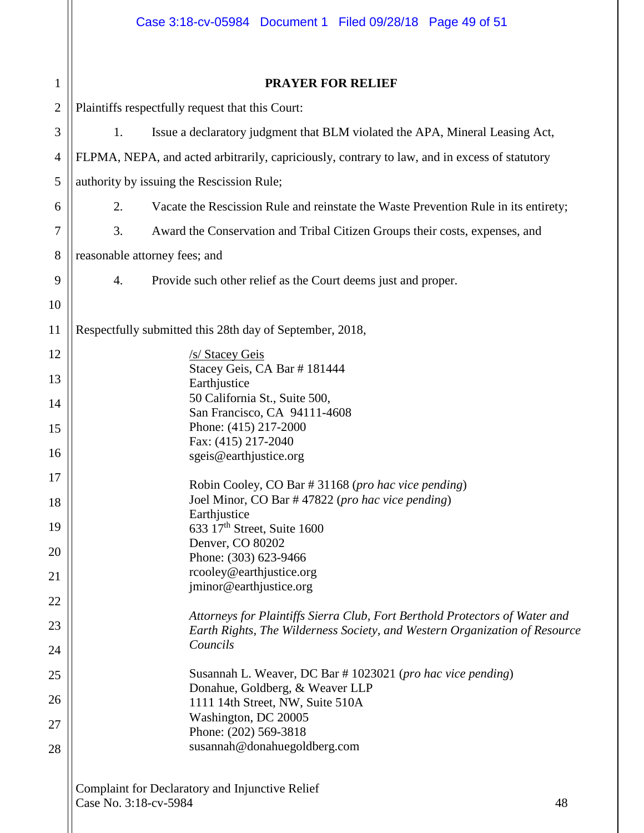| 1              | <b>PRAYER FOR RELIEF</b>                                                                                                                                  |  |  |  |  |
|----------------|-----------------------------------------------------------------------------------------------------------------------------------------------------------|--|--|--|--|
| $\mathbf{2}$   | Plaintiffs respectfully request that this Court:                                                                                                          |  |  |  |  |
| 3              | Issue a declaratory judgment that BLM violated the APA, Mineral Leasing Act,<br>1.                                                                        |  |  |  |  |
| $\overline{4}$ | FLPMA, NEPA, and acted arbitrarily, capriciously, contrary to law, and in excess of statutory                                                             |  |  |  |  |
| 5              | authority by issuing the Rescission Rule;                                                                                                                 |  |  |  |  |
| 6              | Vacate the Rescission Rule and reinstate the Waste Prevention Rule in its entirety;<br>2.                                                                 |  |  |  |  |
| 7              | 3.<br>Award the Conservation and Tribal Citizen Groups their costs, expenses, and                                                                         |  |  |  |  |
| 8              | reasonable attorney fees; and                                                                                                                             |  |  |  |  |
| 9              | Provide such other relief as the Court deems just and proper.<br>4.                                                                                       |  |  |  |  |
| 10             |                                                                                                                                                           |  |  |  |  |
| 11             | Respectfully submitted this 28th day of September, 2018,                                                                                                  |  |  |  |  |
| 12             | /s/ Stacey Geis                                                                                                                                           |  |  |  |  |
| 13             | Stacey Geis, CA Bar #181444                                                                                                                               |  |  |  |  |
| 14             | Earthjustice<br>50 California St., Suite 500,                                                                                                             |  |  |  |  |
| 15             | San Francisco, CA 94111-4608<br>Phone: (415) 217-2000                                                                                                     |  |  |  |  |
| 16             | Fax: (415) 217-2040                                                                                                                                       |  |  |  |  |
|                | sgeis@earthjustice.org                                                                                                                                    |  |  |  |  |
| 17             | Robin Cooley, CO Bar # 31168 (pro hac vice pending)<br>Joel Minor, CO Bar #47822 (pro hac vice pending)                                                   |  |  |  |  |
| 18             | Earthjustice                                                                                                                                              |  |  |  |  |
| 19             | 633 17th Street, Suite 1600<br>Denver, CO 80202                                                                                                           |  |  |  |  |
| 20             | Phone: (303) 623-9466                                                                                                                                     |  |  |  |  |
| 21             | rcooley@earthjustice.org<br>jminor@earthjustice.org                                                                                                       |  |  |  |  |
| 22             |                                                                                                                                                           |  |  |  |  |
| 23             | Attorneys for Plaintiffs Sierra Club, Fort Berthold Protectors of Water and<br>Earth Rights, The Wilderness Society, and Western Organization of Resource |  |  |  |  |
| 24             | Councils                                                                                                                                                  |  |  |  |  |
| 25             | Susannah L. Weaver, DC Bar # 1023021 (pro hac vice pending)                                                                                               |  |  |  |  |
| 26             | Donahue, Goldberg, & Weaver LLP<br>1111 14th Street, NW, Suite 510A                                                                                       |  |  |  |  |
| 27             | Washington, DC 20005                                                                                                                                      |  |  |  |  |
| 28             | Phone: (202) 569-3818<br>susannah@donahuegoldberg.com                                                                                                     |  |  |  |  |
|                |                                                                                                                                                           |  |  |  |  |
|                | Complaint for Declaratory and Injunctive Relief<br>Case No. 3:18-cv-5984<br>48                                                                            |  |  |  |  |
|                |                                                                                                                                                           |  |  |  |  |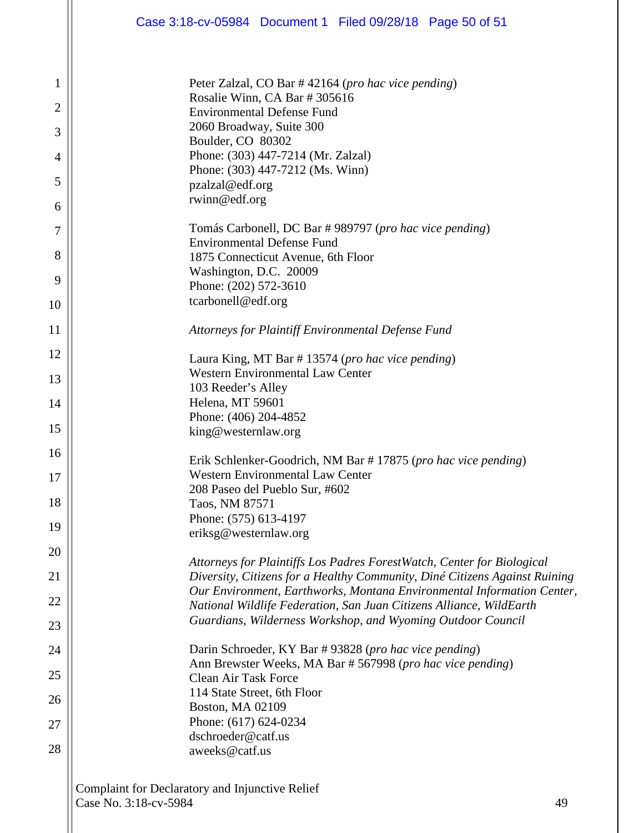| Case 3:18-cv-05984 Document 1 Filed 09/28/18 Page 50 of 51                                                                                                                                                                                                                                                                                                           |
|----------------------------------------------------------------------------------------------------------------------------------------------------------------------------------------------------------------------------------------------------------------------------------------------------------------------------------------------------------------------|
| Peter Zalzal, CO Bar #42164 (pro hac vice pending)<br>Rosalie Winn, CA Bar # 305616<br><b>Environmental Defense Fund</b><br>2060 Broadway, Suite 300<br>Boulder, CO 80302<br>Phone: (303) 447-7214 (Mr. Zalzal)<br>Phone: (303) 447-7212 (Ms. Winn)<br>pzalzal@edf.org<br>rwinn@edf.org                                                                              |
| Tomás Carbonell, DC Bar #989797 (pro hac vice pending)<br><b>Environmental Defense Fund</b><br>1875 Connecticut Avenue, 6th Floor<br>Washington, D.C. 20009<br>Phone: (202) 572-3610<br>tcarbonell@edf.org                                                                                                                                                           |
| Attorneys for Plaintiff Environmental Defense Fund                                                                                                                                                                                                                                                                                                                   |
| Laura King, MT Bar #13574 ( <i>pro hac vice pending</i> )<br><b>Western Environmental Law Center</b><br>103 Reeder's Alley<br>Helena, MT 59601<br>Phone: (406) 204-4852<br>king@westernlaw.org                                                                                                                                                                       |
| Erik Schlenker-Goodrich, NM Bar #17875 (pro hac vice pending)<br><b>Western Environmental Law Center</b><br>208 Paseo del Pueblo Sur, #602<br>Taos, NM 87571<br>Phone: (575) 613-4197<br>eriksg@westernlaw.org                                                                                                                                                       |
| Attorneys for Plaintiffs Los Padres ForestWatch, Center for Biological<br>Diversity, Citizens for a Healthy Community, Diné Citizens Against Ruining<br>Our Environment, Earthworks, Montana Environmental Information Center,<br>National Wildlife Federation, San Juan Citizens Alliance, WildEarth<br>Guardians, Wilderness Workshop, and Wyoming Outdoor Council |
| Darin Schroeder, KY Bar #93828 (pro hac vice pending)<br>Ann Brewster Weeks, MA Bar # 567998 (pro hac vice pending)<br><b>Clean Air Task Force</b><br>114 State Street, 6th Floor<br><b>Boston, MA 02109</b><br>Phone: (617) 624-0234<br>dschroeder@catf.us<br>aweeks@catf.us                                                                                        |

1

2

3

4

5

6

7

8

9

10

11

12

13

14

15

16

17

18

19

20

21

22

23

24

25

26

27